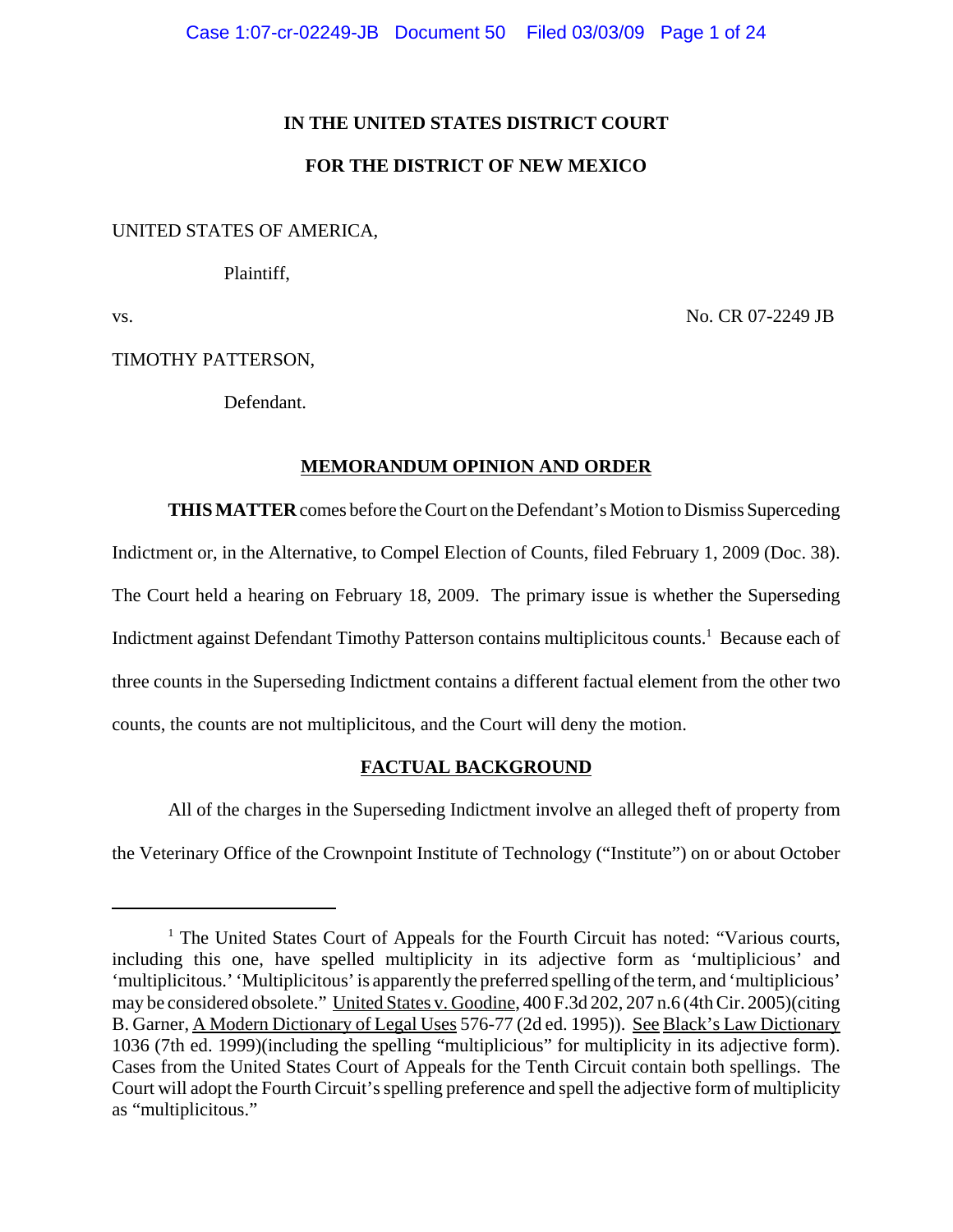# **IN THE UNITED STATES DISTRICT COURT**

# **FOR THE DISTRICT OF NEW MEXICO**

# UNITED STATES OF AMERICA,

Plaintiff,

vs. No. CR 07-2249 JB

# TIMOTHY PATTERSON,

Defendant.

# **MEMORANDUM OPINION AND ORDER**

**THIS MATTER** comes before the Court on the Defendant's Motion to Dismiss Superceding Indictment or, in the Alternative, to Compel Election of Counts, filed February 1, 2009 (Doc. 38). The Court held a hearing on February 18, 2009. The primary issue is whether the Superseding Indictment against Defendant Timothy Patterson contains multiplicitous counts.<sup>1</sup> Because each of three counts in the Superseding Indictment contains a different factual element from the other two counts, the counts are not multiplicitous, and the Court will deny the motion.

# **FACTUAL BACKGROUND**

All of the charges in the Superseding Indictment involve an alleged theft of property from the Veterinary Office of the Crownpoint Institute of Technology ("Institute") on or about October

<sup>&</sup>lt;sup>1</sup> The United States Court of Appeals for the Fourth Circuit has noted: "Various courts, including this one, have spelled multiplicity in its adjective form as 'multiplicious' and 'multiplicitous.' 'Multiplicitous' is apparently the preferred spelling of the term, and 'multiplicious' may be considered obsolete." United States v. Goodine, 400 F.3d 202, 207 n.6 (4th Cir. 2005)(citing B. Garner, A Modern Dictionary of Legal Uses 576-77 (2d ed. 1995)). See Black's Law Dictionary 1036 (7th ed. 1999)(including the spelling "multiplicious" for multiplicity in its adjective form). Cases from the United States Court of Appeals for the Tenth Circuit contain both spellings. The Court will adopt the Fourth Circuit's spelling preference and spell the adjective form of multiplicity as "multiplicitous."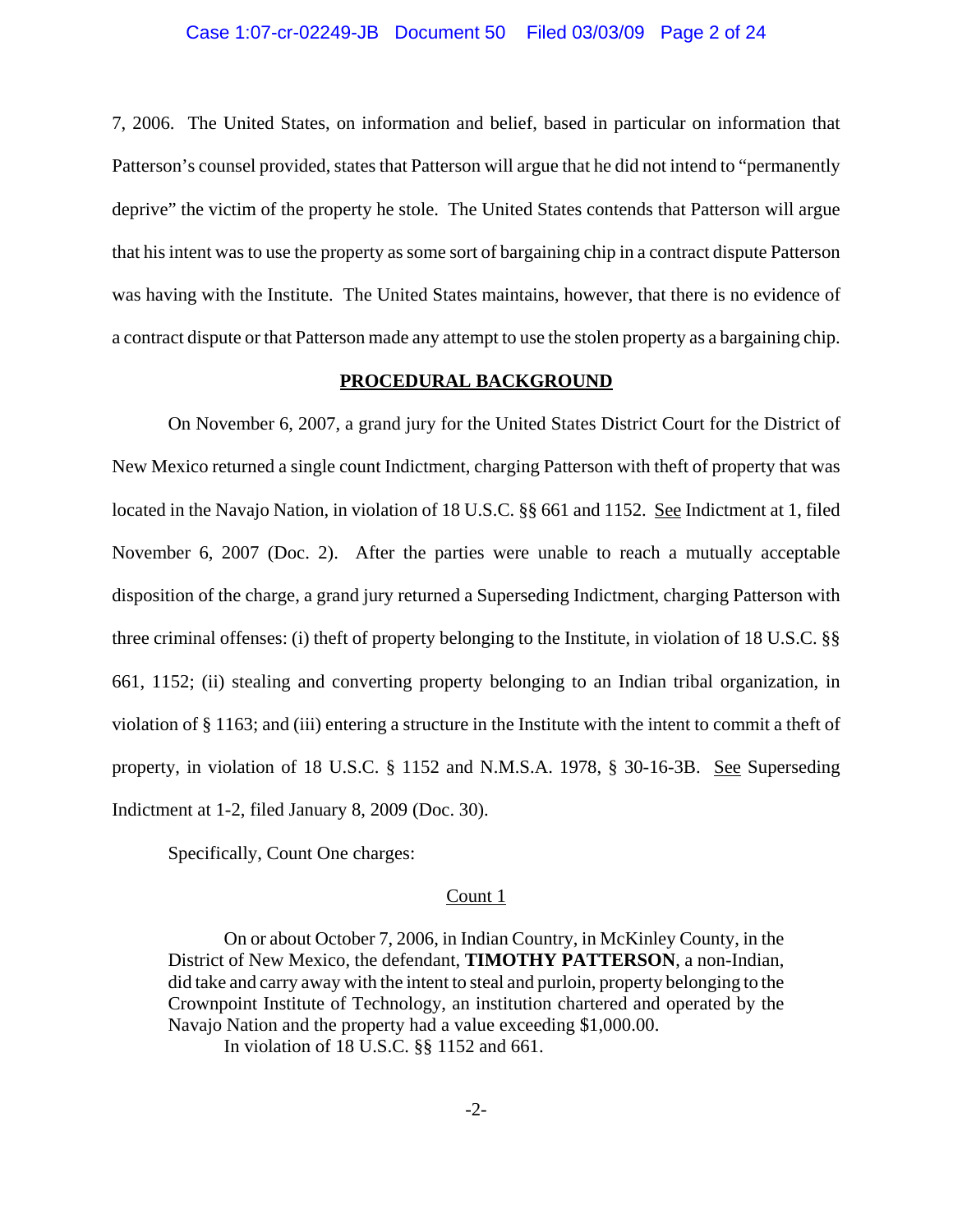7, 2006. The United States, on information and belief, based in particular on information that Patterson's counsel provided, states that Patterson will argue that he did not intend to "permanently deprive" the victim of the property he stole. The United States contends that Patterson will argue that his intent was to use the property as some sort of bargaining chip in a contract dispute Patterson was having with the Institute. The United States maintains, however, that there is no evidence of a contract dispute or that Patterson made any attempt to use the stolen property as a bargaining chip.

#### **PROCEDURAL BACKGROUND**

On November 6, 2007, a grand jury for the United States District Court for the District of New Mexico returned a single count Indictment, charging Patterson with theft of property that was located in the Navajo Nation, in violation of 18 U.S.C. §§ 661 and 1152. See Indictment at 1, filed November 6, 2007 (Doc. 2). After the parties were unable to reach a mutually acceptable disposition of the charge, a grand jury returned a Superseding Indictment, charging Patterson with three criminal offenses: (i) theft of property belonging to the Institute, in violation of 18 U.S.C. §§ 661, 1152; (ii) stealing and converting property belonging to an Indian tribal organization, in violation of § 1163; and (iii) entering a structure in the Institute with the intent to commit a theft of property, in violation of 18 U.S.C. § 1152 and N.M.S.A. 1978, § 30-16-3B. See Superseding Indictment at 1-2, filed January 8, 2009 (Doc. 30).

Specifically, Count One charges:

#### Count 1

On or about October 7, 2006, in Indian Country, in McKinley County, in the District of New Mexico, the defendant, **TIMOTHY PATTERSON**, a non-Indian, did take and carry away with the intent to steal and purloin, property belonging to the Crownpoint Institute of Technology, an institution chartered and operated by the Navajo Nation and the property had a value exceeding \$1,000.00. In violation of 18 U.S.C. §§ 1152 and 661.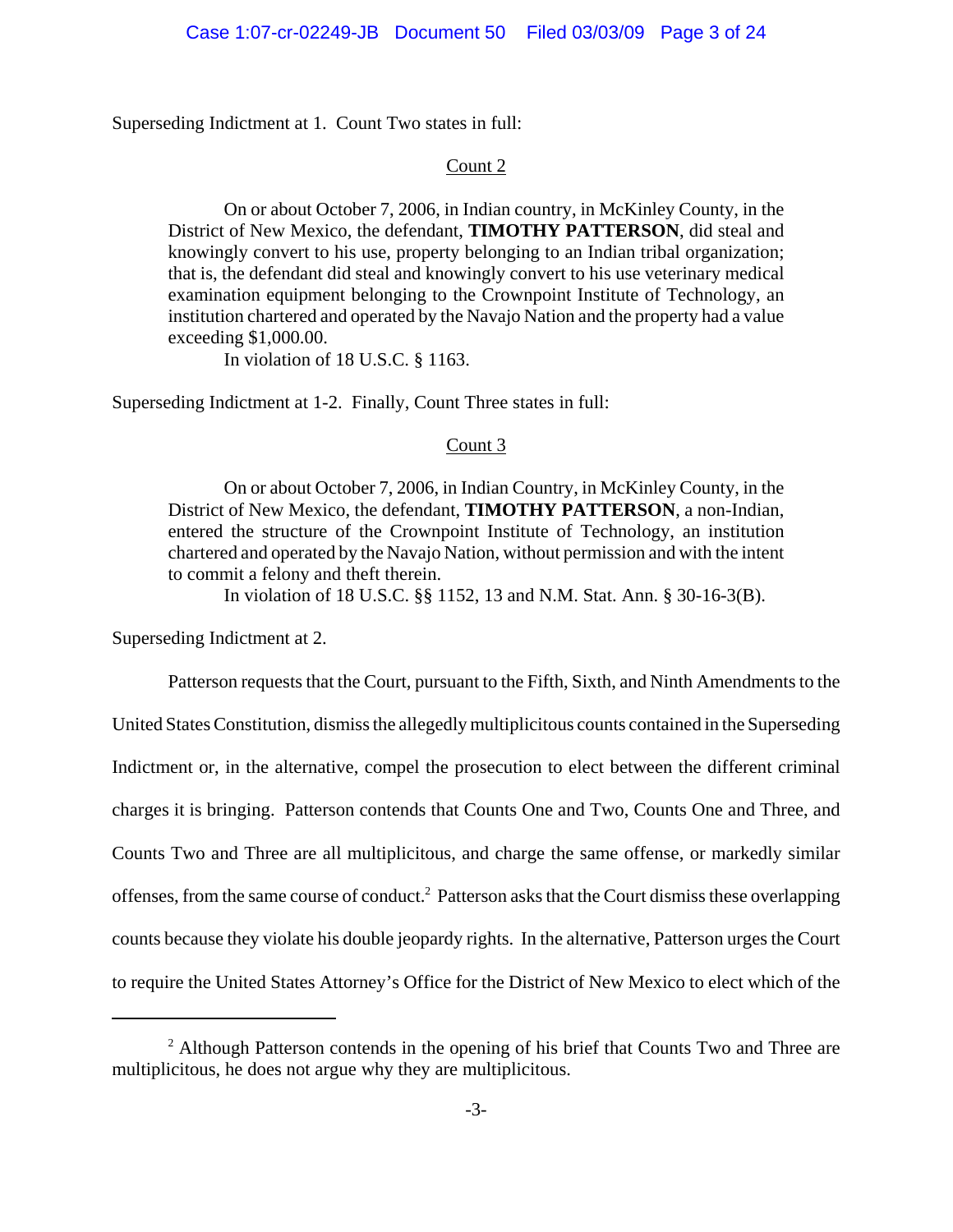Superseding Indictment at 1. Count Two states in full:

# Count 2

On or about October 7, 2006, in Indian country, in McKinley County, in the District of New Mexico, the defendant, **TIMOTHY PATTERSON**, did steal and knowingly convert to his use, property belonging to an Indian tribal organization; that is, the defendant did steal and knowingly convert to his use veterinary medical examination equipment belonging to the Crownpoint Institute of Technology, an institution chartered and operated by the Navajo Nation and the property had a value exceeding \$1,000.00.

In violation of 18 U.S.C. § 1163.

Superseding Indictment at 1-2. Finally, Count Three states in full:

# Count 3

On or about October 7, 2006, in Indian Country, in McKinley County, in the District of New Mexico, the defendant, **TIMOTHY PATTERSON**, a non-Indian, entered the structure of the Crownpoint Institute of Technology, an institution chartered and operated by the Navajo Nation, without permission and with the intent to commit a felony and theft therein.

In violation of 18 U.S.C. §§ 1152, 13 and N.M. Stat. Ann. § 30-16-3(B).

Superseding Indictment at 2.

Patterson requests that the Court, pursuant to the Fifth, Sixth, and Ninth Amendments to the United States Constitution, dismiss the allegedly multiplicitous counts contained in the Superseding Indictment or, in the alternative, compel the prosecution to elect between the different criminal charges it is bringing. Patterson contends that Counts One and Two, Counts One and Three, and Counts Two and Three are all multiplicitous, and charge the same offense, or markedly similar offenses, from the same course of conduct.<sup>2</sup> Patterson asks that the Court dismiss these overlapping counts because they violate his double jeopardy rights. In the alternative, Patterson urges the Court to require the United States Attorney's Office for the District of New Mexico to elect which of the

<sup>&</sup>lt;sup>2</sup> Although Patterson contends in the opening of his brief that Counts Two and Three are multiplicitous, he does not argue why they are multiplicitous.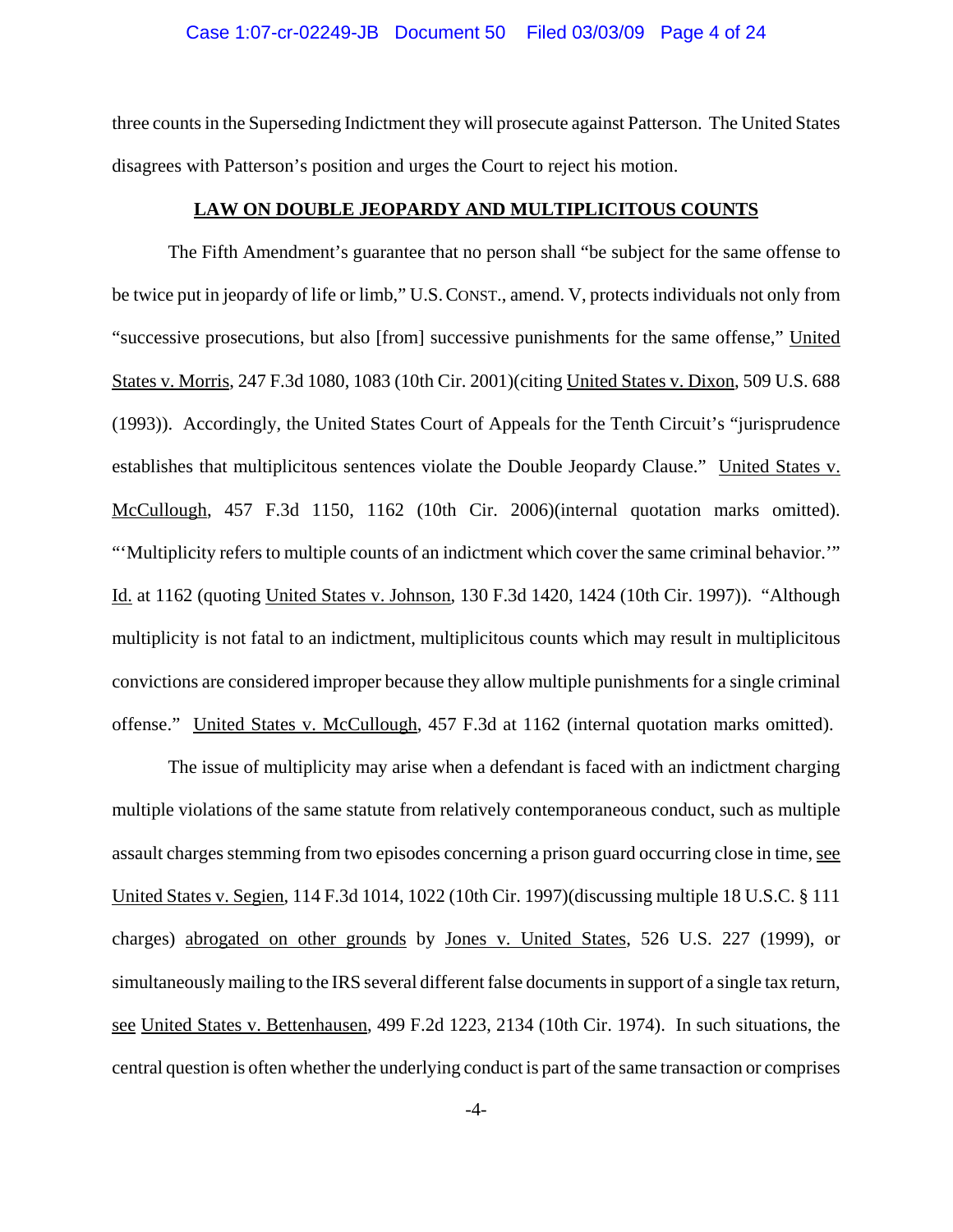### Case 1:07-cr-02249-JB Document 50 Filed 03/03/09 Page 4 of 24

three counts in the Superseding Indictment they will prosecute against Patterson. The United States disagrees with Patterson's position and urges the Court to reject his motion.

#### **LAW ON DOUBLE JEOPARDY AND MULTIPLICITOUS COUNTS**

The Fifth Amendment's guarantee that no person shall "be subject for the same offense to be twice put in jeopardy of life or limb," U.S.CONST., amend. V, protects individuals not only from "successive prosecutions, but also [from] successive punishments for the same offense," United States v. Morris, 247 F.3d 1080, 1083 (10th Cir. 2001)(citing United States v. Dixon, 509 U.S. 688 (1993)). Accordingly, the United States Court of Appeals for the Tenth Circuit's "jurisprudence establishes that multiplicitous sentences violate the Double Jeopardy Clause." United States v. McCullough, 457 F.3d 1150, 1162 (10th Cir. 2006)(internal quotation marks omitted). "'Multiplicity refers to multiple counts of an indictment which cover the same criminal behavior.'" Id. at 1162 (quoting United States v. Johnson, 130 F.3d 1420, 1424 (10th Cir. 1997)). "Although multiplicity is not fatal to an indictment, multiplicitous counts which may result in multiplicitous convictions are considered improper because they allow multiple punishments for a single criminal offense." United States v. McCullough, 457 F.3d at 1162 (internal quotation marks omitted).

The issue of multiplicity may arise when a defendant is faced with an indictment charging multiple violations of the same statute from relatively contemporaneous conduct, such as multiple assault charges stemming from two episodes concerning a prison guard occurring close in time, see United States v. Segien, 114 F.3d 1014, 1022 (10th Cir. 1997)(discussing multiple 18 U.S.C. § 111 charges) abrogated on other grounds by Jones v. United States, 526 U.S. 227 (1999), or simultaneously mailing to the IRS several different false documents in support of a single tax return, see United States v. Bettenhausen, 499 F.2d 1223, 2134 (10th Cir. 1974). In such situations, the central question is often whether the underlying conduct is part of the same transaction or comprises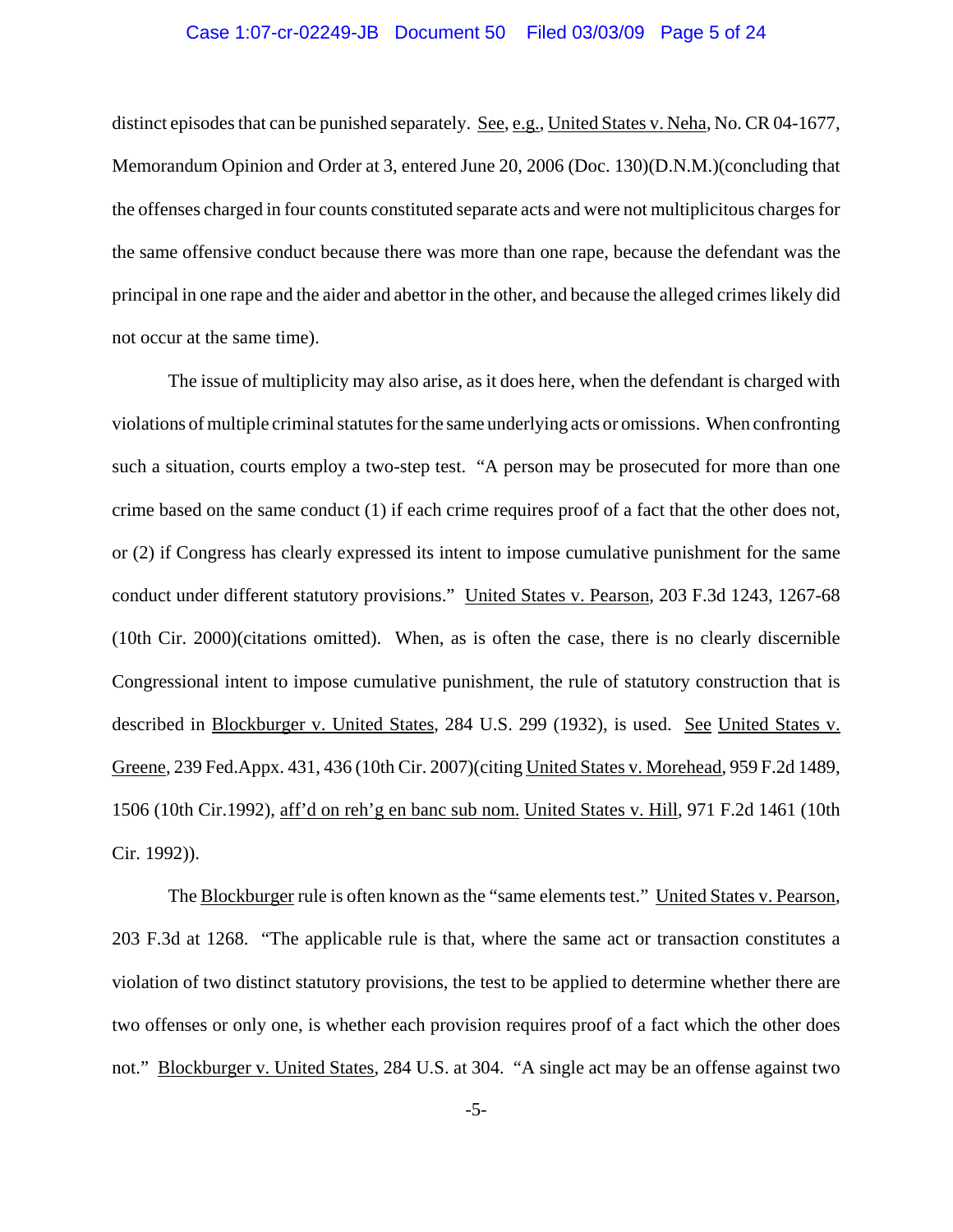## Case 1:07-cr-02249-JB Document 50 Filed 03/03/09 Page 5 of 24

distinct episodes that can be punished separately. See, e.g., United States v. Neha, No. CR 04-1677, Memorandum Opinion and Order at 3, entered June 20, 2006 (Doc. 130)(D.N.M.)(concluding that the offenses charged in four counts constituted separate acts and were not multiplicitous charges for the same offensive conduct because there was more than one rape, because the defendant was the principal in one rape and the aider and abettor in the other, and because the alleged crimes likely did not occur at the same time).

The issue of multiplicity may also arise, as it does here, when the defendant is charged with violations of multiple criminal statutes for the same underlying acts or omissions. When confronting such a situation, courts employ a two-step test. "A person may be prosecuted for more than one crime based on the same conduct (1) if each crime requires proof of a fact that the other does not, or (2) if Congress has clearly expressed its intent to impose cumulative punishment for the same conduct under different statutory provisions." United States v. Pearson, 203 F.3d 1243, 1267-68 (10th Cir. 2000)(citations omitted). When, as is often the case, there is no clearly discernible Congressional intent to impose cumulative punishment, the rule of statutory construction that is described in Blockburger v. United States, 284 U.S. 299 (1932), is used. See United States v. Greene, 239 Fed.Appx. 431, 436 (10th Cir. 2007)(citing United States v. Morehead, 959 F.2d 1489, 1506 (10th Cir.1992), aff'd on reh'g en banc sub nom. United States v. Hill, 971 F.2d 1461 (10th Cir. 1992)).

The Blockburger rule is often known as the "same elements test." United States v. Pearson, 203 F.3d at 1268. "The applicable rule is that, where the same act or transaction constitutes a violation of two distinct statutory provisions, the test to be applied to determine whether there are two offenses or only one, is whether each provision requires proof of a fact which the other does not." Blockburger v. United States, 284 U.S. at 304. "A single act may be an offense against two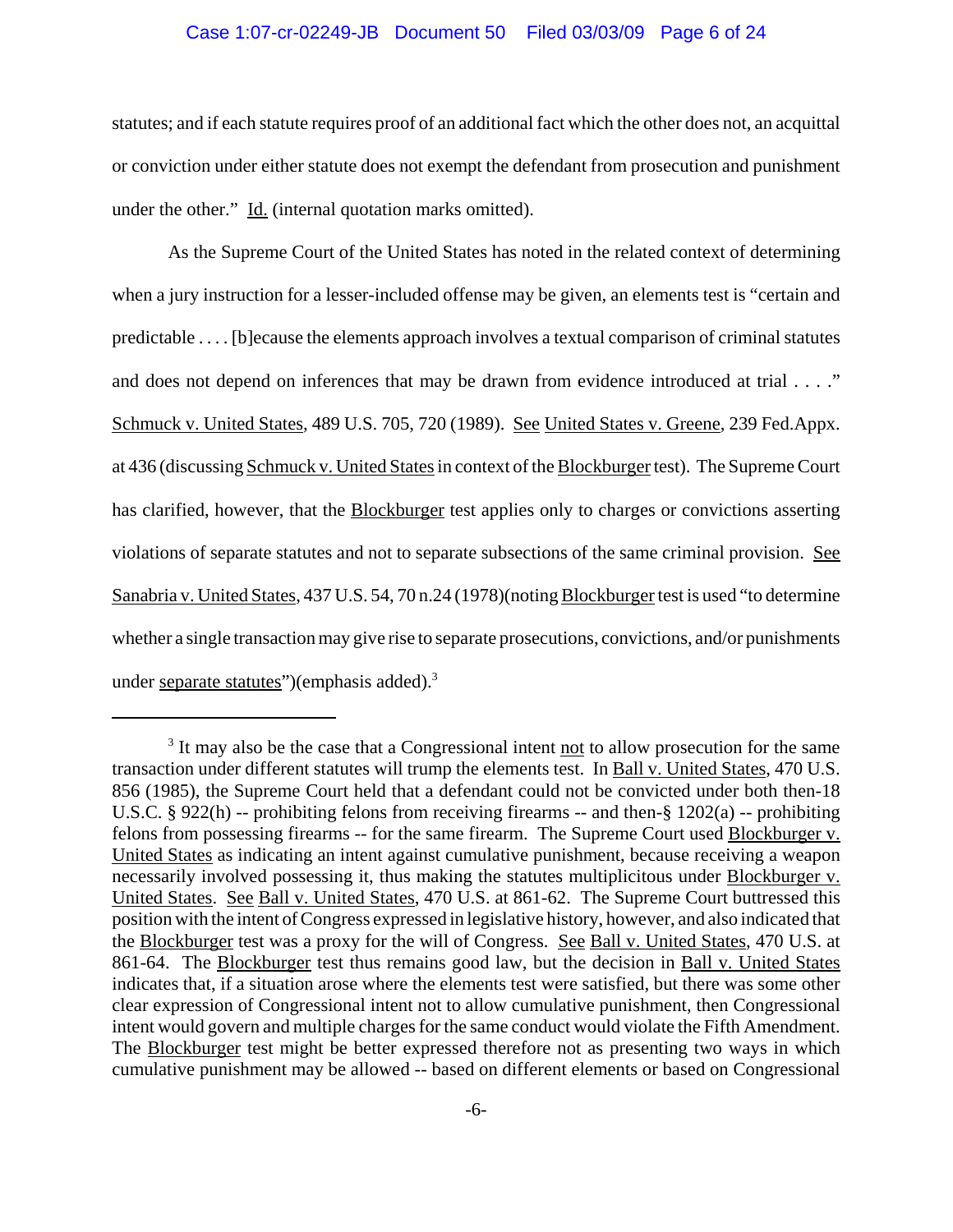## Case 1:07-cr-02249-JB Document 50 Filed 03/03/09 Page 6 of 24

statutes; and if each statute requires proof of an additional fact which the other does not, an acquittal or conviction under either statute does not exempt the defendant from prosecution and punishment under the other." Id. (internal quotation marks omitted).

As the Supreme Court of the United States has noted in the related context of determining when a jury instruction for a lesser-included offense may be given, an elements test is "certain and predictable . . . . [b]ecause the elements approach involves a textual comparison of criminal statutes and does not depend on inferences that may be drawn from evidence introduced at trial . . . ." Schmuck v. United States, 489 U.S. 705, 720 (1989). See United States v. Greene, 239 Fed.Appx. at 436 (discussing Schmuck v. United States in context of the Blockburger test). The Supreme Court has clarified, however, that the **Blockburger** test applies only to charges or convictions asserting violations of separate statutes and not to separate subsections of the same criminal provision. See Sanabria v. United States, 437 U.S. 54, 70 n.24 (1978)(noting Blockburger test is used "to determine whether a single transaction may give rise to separate prosecutions, convictions, and/or punishments under separate statutes")(emphasis added).<sup>3</sup>

<sup>&</sup>lt;sup>3</sup> It may also be the case that a Congressional intent not to allow prosecution for the same transaction under different statutes will trump the elements test. In Ball v. United States, 470 U.S. 856 (1985), the Supreme Court held that a defendant could not be convicted under both then-18 U.S.C. § 922(h) -- prohibiting felons from receiving firearms -- and then-§ 1202(a) -- prohibiting felons from possessing firearms -- for the same firearm. The Supreme Court used Blockburger v. United States as indicating an intent against cumulative punishment, because receiving a weapon necessarily involved possessing it, thus making the statutes multiplicitous under Blockburger v. United States. See Ball v. United States, 470 U.S. at 861-62. The Supreme Court buttressed this position with the intent of Congress expressed in legislative history, however, and also indicated that the Blockburger test was a proxy for the will of Congress. See Ball v. United States, 470 U.S. at 861-64. The Blockburger test thus remains good law, but the decision in Ball v. United States indicates that, if a situation arose where the elements test were satisfied, but there was some other clear expression of Congressional intent not to allow cumulative punishment, then Congressional intent would govern and multiple charges for the same conduct would violate the Fifth Amendment. The Blockburger test might be better expressed therefore not as presenting two ways in which cumulative punishment may be allowed -- based on different elements or based on Congressional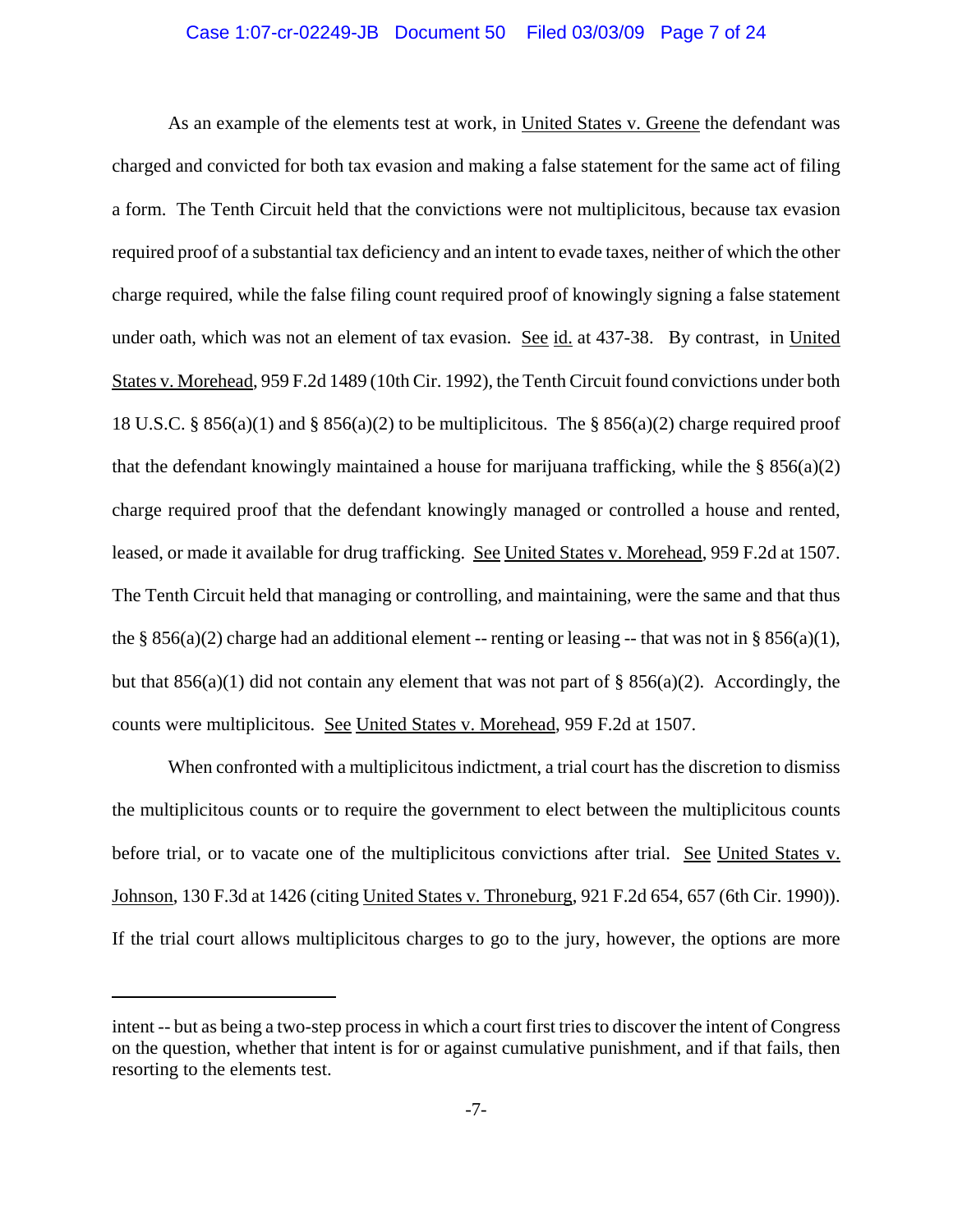## Case 1:07-cr-02249-JB Document 50 Filed 03/03/09 Page 7 of 24

As an example of the elements test at work, in United States v. Greene the defendant was charged and convicted for both tax evasion and making a false statement for the same act of filing a form. The Tenth Circuit held that the convictions were not multiplicitous, because tax evasion required proof of a substantial tax deficiency and an intent to evade taxes, neither of which the other charge required, while the false filing count required proof of knowingly signing a false statement under oath, which was not an element of tax evasion. See id. at 437-38. By contrast, in United States v. Morehead, 959 F.2d 1489 (10th Cir. 1992), the Tenth Circuit found convictions under both 18 U.S.C. § 856(a)(1) and § 856(a)(2) to be multiplicitous. The § 856(a)(2) charge required proof that the defendant knowingly maintained a house for marijuana trafficking, while the  $\S$  856(a)(2) charge required proof that the defendant knowingly managed or controlled a house and rented, leased, or made it available for drug trafficking. See United States v. Morehead, 959 F.2d at 1507. The Tenth Circuit held that managing or controlling, and maintaining, were the same and that thus the § 856(a)(2) charge had an additional element -- renting or leasing -- that was not in § 856(a)(1), but that  $856(a)(1)$  did not contain any element that was not part of §  $856(a)(2)$ . Accordingly, the counts were multiplicitous. See United States v. Morehead, 959 F.2d at 1507.

When confronted with a multiplicitous indictment, a trial court has the discretion to dismiss the multiplicitous counts or to require the government to elect between the multiplicitous counts before trial, or to vacate one of the multiplicitous convictions after trial. See United States v. Johnson, 130 F.3d at 1426 (citing United States v. Throneburg, 921 F.2d 654, 657 (6th Cir. 1990)). If the trial court allows multiplicitous charges to go to the jury, however, the options are more

intent -- but as being a two-step process in which a court first tries to discover the intent of Congress on the question, whether that intent is for or against cumulative punishment, and if that fails, then resorting to the elements test.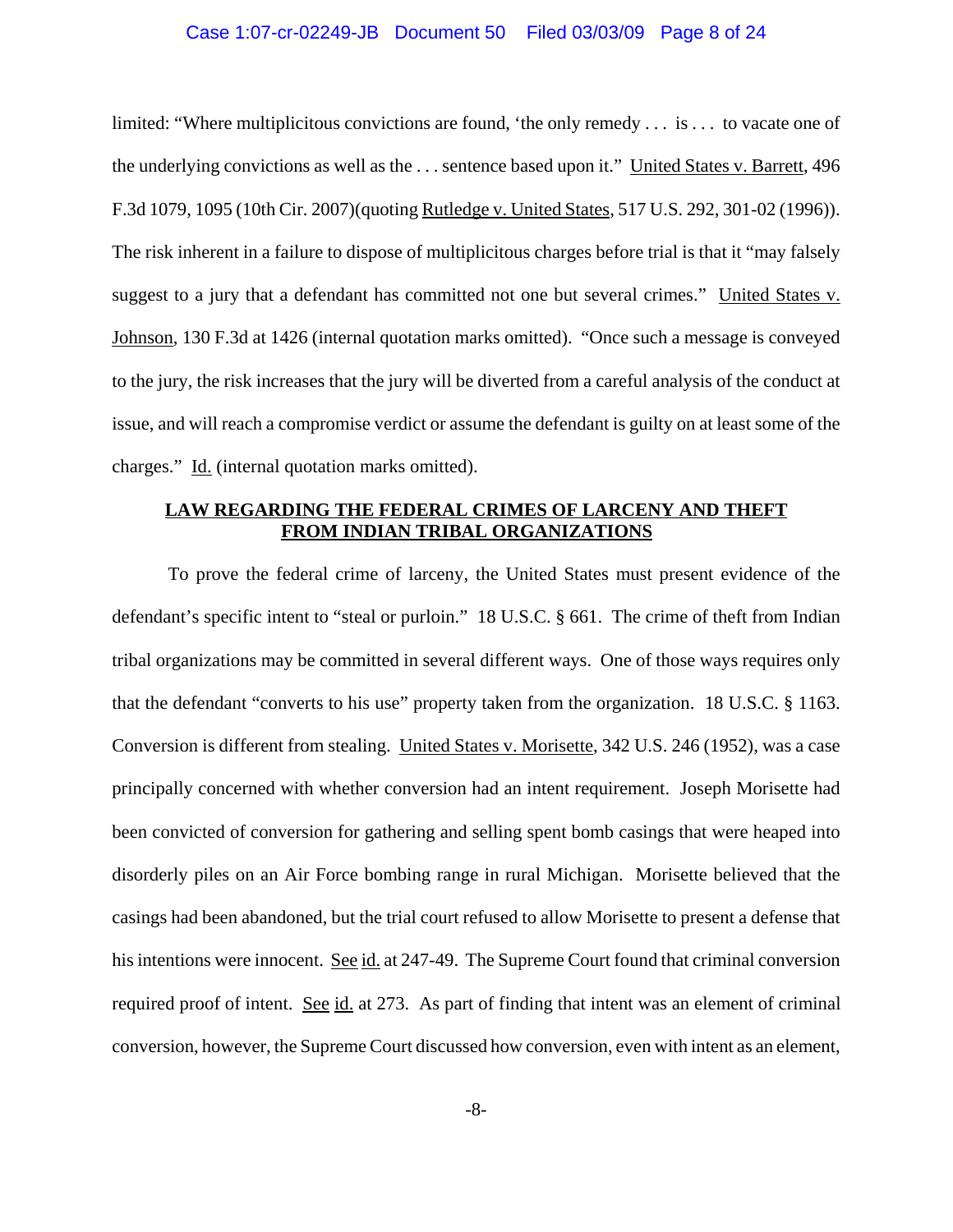### Case 1:07-cr-02249-JB Document 50 Filed 03/03/09 Page 8 of 24

limited: "Where multiplicitous convictions are found, 'the only remedy . . . is . . . to vacate one of the underlying convictions as well as the . . . sentence based upon it." United States v. Barrett, 496 F.3d 1079, 1095 (10th Cir. 2007)(quoting Rutledge v. United States, 517 U.S. 292, 301-02 (1996)). The risk inherent in a failure to dispose of multiplicitous charges before trial is that it "may falsely suggest to a jury that a defendant has committed not one but several crimes." United States v. Johnson, 130 F.3d at 1426 (internal quotation marks omitted). "Once such a message is conveyed to the jury, the risk increases that the jury will be diverted from a careful analysis of the conduct at issue, and will reach a compromise verdict or assume the defendant is guilty on at least some of the charges." Id. (internal quotation marks omitted).

# **LAW REGARDING THE FEDERAL CRIMES OF LARCENY AND THEFT FROM INDIAN TRIBAL ORGANIZATIONS**

To prove the federal crime of larceny, the United States must present evidence of the defendant's specific intent to "steal or purloin." 18 U.S.C. § 661. The crime of theft from Indian tribal organizations may be committed in several different ways. One of those ways requires only that the defendant "converts to his use" property taken from the organization. 18 U.S.C. § 1163. Conversion is different from stealing. United States v. Morisette, 342 U.S. 246 (1952), was a case principally concerned with whether conversion had an intent requirement. Joseph Morisette had been convicted of conversion for gathering and selling spent bomb casings that were heaped into disorderly piles on an Air Force bombing range in rural Michigan. Morisette believed that the casings had been abandoned, but the trial court refused to allow Morisette to present a defense that his intentions were innocent. See id. at 247-49. The Supreme Court found that criminal conversion required proof of intent. See id. at 273. As part of finding that intent was an element of criminal conversion, however, the Supreme Court discussed how conversion, even with intent as an element,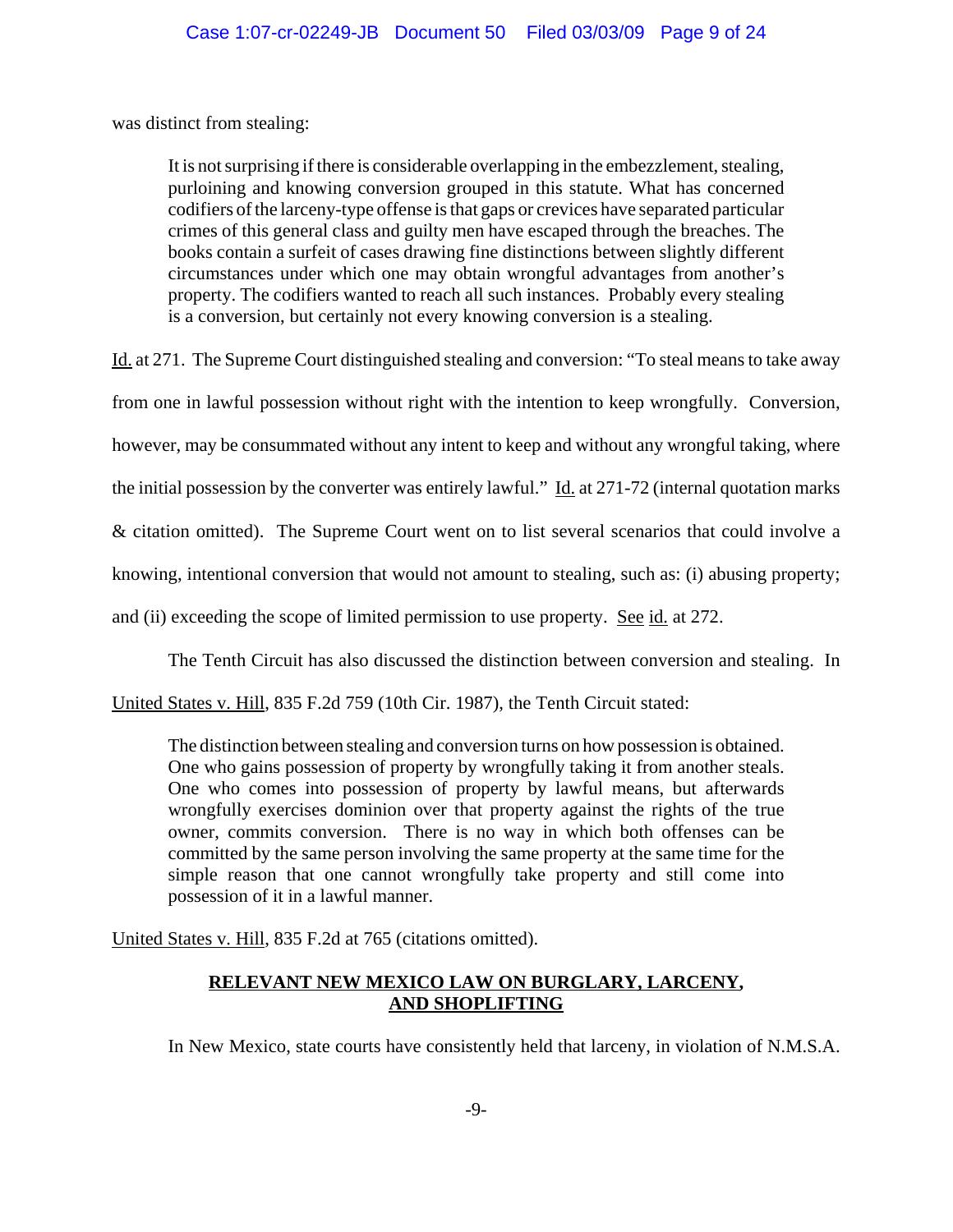was distinct from stealing:

It is not surprising if there is considerable overlapping in the embezzlement, stealing, purloining and knowing conversion grouped in this statute. What has concerned codifiers of the larceny-type offense is that gaps or crevices have separated particular crimes of this general class and guilty men have escaped through the breaches. The books contain a surfeit of cases drawing fine distinctions between slightly different circumstances under which one may obtain wrongful advantages from another's property. The codifiers wanted to reach all such instances. Probably every stealing is a conversion, but certainly not every knowing conversion is a stealing.

Id. at 271. The Supreme Court distinguished stealing and conversion: "To steal means to take away

from one in lawful possession without right with the intention to keep wrongfully. Conversion,

however, may be consummated without any intent to keep and without any wrongful taking, where

the initial possession by the converter was entirely lawful." Id. at 271-72 (internal quotation marks

& citation omitted). The Supreme Court went on to list several scenarios that could involve a

knowing, intentional conversion that would not amount to stealing, such as: (i) abusing property;

and (ii) exceeding the scope of limited permission to use property. See id. at 272.

The Tenth Circuit has also discussed the distinction between conversion and stealing. In

United States v. Hill, 835 F.2d 759 (10th Cir. 1987), the Tenth Circuit stated:

The distinction between stealing and conversion turns on how possession is obtained. One who gains possession of property by wrongfully taking it from another steals. One who comes into possession of property by lawful means, but afterwards wrongfully exercises dominion over that property against the rights of the true owner, commits conversion. There is no way in which both offenses can be committed by the same person involving the same property at the same time for the simple reason that one cannot wrongfully take property and still come into possession of it in a lawful manner.

United States v. Hill, 835 F.2d at 765 (citations omitted).

# **RELEVANT NEW MEXICO LAW ON BURGLARY, LARCENY, AND SHOPLIFTING**

In New Mexico, state courts have consistently held that larceny, in violation of N.M.S.A.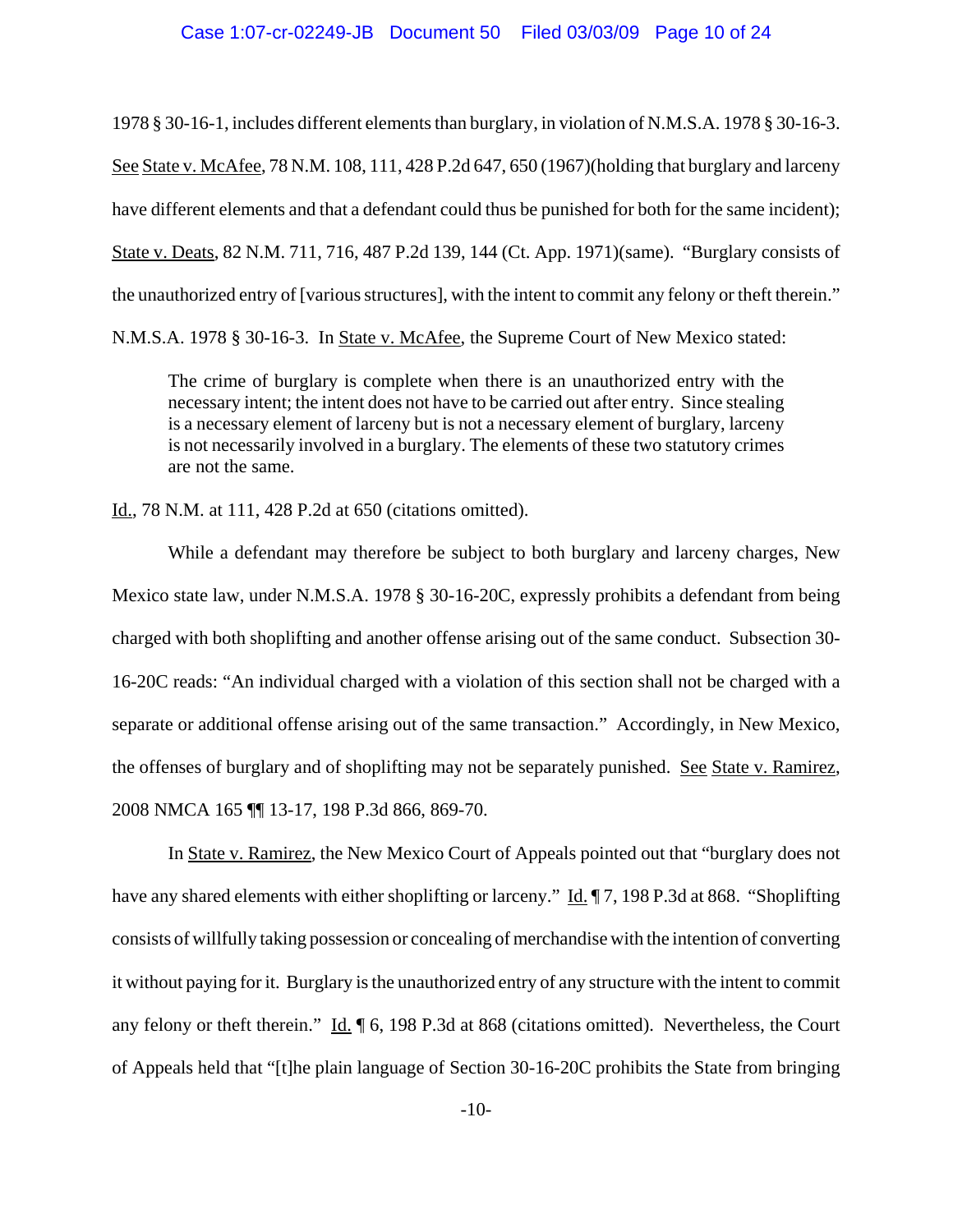### Case 1:07-cr-02249-JB Document 50 Filed 03/03/09 Page 10 of 24

1978 § 30-16-1, includes different elements than burglary, in violation of N.M.S.A. 1978 § 30-16-3. See State v. McAfee, 78 N.M. 108, 111, 428 P.2d 647, 650 (1967)(holding that burglary and larceny have different elements and that a defendant could thus be punished for both for the same incident); State v. Deats, 82 N.M. 711, 716, 487 P.2d 139, 144 (Ct. App. 1971)(same). "Burglary consists of the unauthorized entry of [various structures], with the intent to commit any felony or theft therein." N.M.S.A. 1978 § 30-16-3. In State v. McAfee, the Supreme Court of New Mexico stated:

The crime of burglary is complete when there is an unauthorized entry with the necessary intent; the intent does not have to be carried out after entry. Since stealing is a necessary element of larceny but is not a necessary element of burglary, larceny is not necessarily involved in a burglary. The elements of these two statutory crimes are not the same.

Id., 78 N.M. at 111, 428 P.2d at 650 (citations omitted).

While a defendant may therefore be subject to both burglary and larceny charges, New Mexico state law, under N.M.S.A. 1978 § 30-16-20C, expressly prohibits a defendant from being charged with both shoplifting and another offense arising out of the same conduct. Subsection 30- 16-20C reads: "An individual charged with a violation of this section shall not be charged with a separate or additional offense arising out of the same transaction." Accordingly, in New Mexico, the offenses of burglary and of shoplifting may not be separately punished. See State v. Ramirez, 2008 NMCA 165 ¶¶ 13-17, 198 P.3d 866, 869-70.

In State v. Ramirez, the New Mexico Court of Appeals pointed out that "burglary does not have any shared elements with either shoplifting or larceny." Id. ¶ 7, 198 P.3d at 868. "Shoplifting consists of willfully taking possession or concealing of merchandise with the intention of converting it without paying for it. Burglary is the unauthorized entry of any structure with the intent to commit any felony or theft therein." Id. ¶ 6, 198 P.3d at 868 (citations omitted). Nevertheless, the Court of Appeals held that "[t]he plain language of Section 30-16-20C prohibits the State from bringing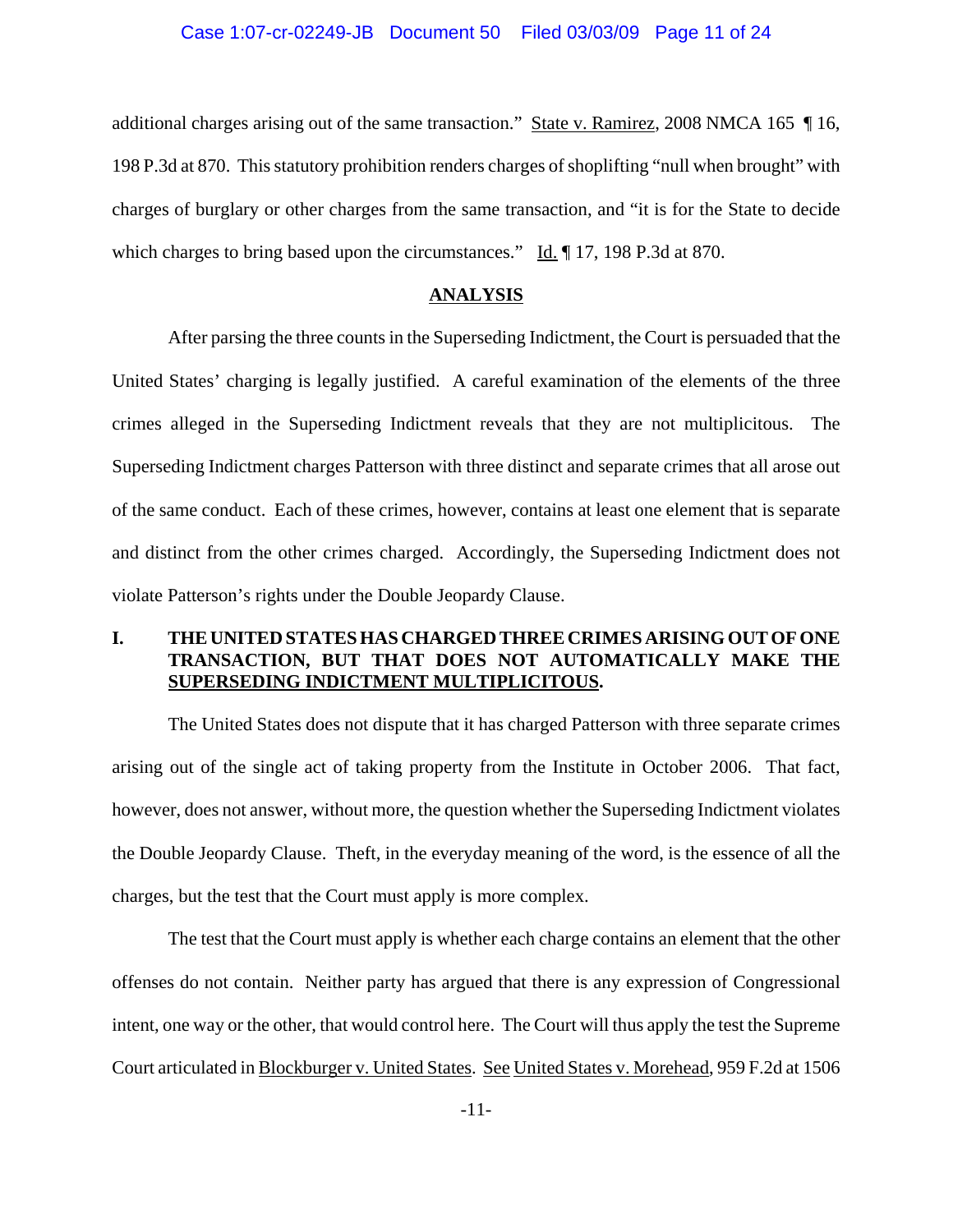## Case 1:07-cr-02249-JB Document 50 Filed 03/03/09 Page 11 of 24

additional charges arising out of the same transaction." State v. Ramirez, 2008 NMCA 165 ¶ 16, 198 P.3d at 870. This statutory prohibition renders charges of shoplifting "null when brought" with charges of burglary or other charges from the same transaction, and "it is for the State to decide which charges to bring based upon the circumstances." Id.  $\P$  17, 198 P.3d at 870.

#### **ANALYSIS**

After parsing the three counts in the Superseding Indictment, the Court is persuaded that the United States' charging is legally justified. A careful examination of the elements of the three crimes alleged in the Superseding Indictment reveals that they are not multiplicitous. The Superseding Indictment charges Patterson with three distinct and separate crimes that all arose out of the same conduct. Each of these crimes, however, contains at least one element that is separate and distinct from the other crimes charged. Accordingly, the Superseding Indictment does not violate Patterson's rights under the Double Jeopardy Clause.

# **I. THE UNITED STATES HAS CHARGED THREE CRIMES ARISING OUT OF ONE TRANSACTION, BUT THAT DOES NOT AUTOMATICALLY MAKE THE SUPERSEDING INDICTMENT MULTIPLICITOUS.**

The United States does not dispute that it has charged Patterson with three separate crimes arising out of the single act of taking property from the Institute in October 2006. That fact, however, does not answer, without more, the question whether the Superseding Indictment violates the Double Jeopardy Clause. Theft, in the everyday meaning of the word, is the essence of all the charges, but the test that the Court must apply is more complex.

The test that the Court must apply is whether each charge contains an element that the other offenses do not contain. Neither party has argued that there is any expression of Congressional intent, one way or the other, that would control here. The Court will thus apply the test the Supreme Court articulated in Blockburger v. United States. See United States v. Morehead, 959 F.2d at 1506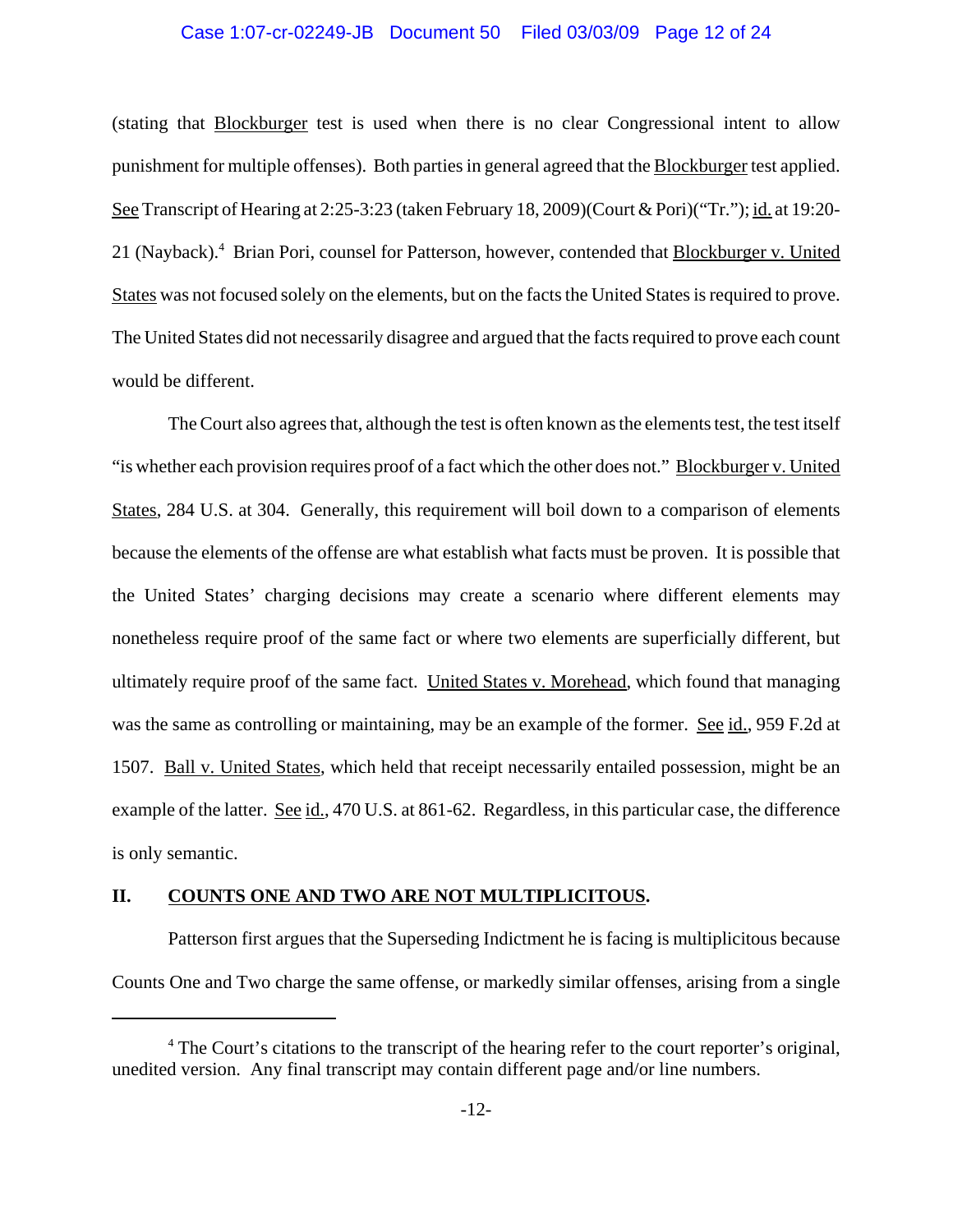### Case 1:07-cr-02249-JB Document 50 Filed 03/03/09 Page 12 of 24

(stating that Blockburger test is used when there is no clear Congressional intent to allow punishment for multiple offenses). Both parties in general agreed that the Blockburger test applied. See Transcript of Hearing at 2:25-3:23 (taken February 18, 2009)(Court & Pori)("Tr."); id. at 19:20- 21 (Nayback).<sup>4</sup> Brian Pori, counsel for Patterson, however, contended that **Blockburger v. United** States was not focused solely on the elements, but on the facts the United States is required to prove. The United States did not necessarily disagree and argued that the facts required to prove each count would be different.

The Court also agrees that, although the test is often known as the elements test, the test itself "is whether each provision requires proof of a fact which the other does not." Blockburger v. United States, 284 U.S. at 304. Generally, this requirement will boil down to a comparison of elements because the elements of the offense are what establish what facts must be proven. It is possible that the United States' charging decisions may create a scenario where different elements may nonetheless require proof of the same fact or where two elements are superficially different, but ultimately require proof of the same fact. United States v. Morehead, which found that managing was the same as controlling or maintaining, may be an example of the former. See id., 959 F.2d at 1507. Ball v. United States, which held that receipt necessarily entailed possession, might be an example of the latter. See id., 470 U.S. at 861-62. Regardless, in this particular case, the difference is only semantic.

## **II. COUNTS ONE AND TWO ARE NOT MULTIPLICITOUS.**

Patterson first argues that the Superseding Indictment he is facing is multiplicitous because Counts One and Two charge the same offense, or markedly similar offenses, arising from a single

<sup>&</sup>lt;sup>4</sup> The Court's citations to the transcript of the hearing refer to the court reporter's original, unedited version. Any final transcript may contain different page and/or line numbers.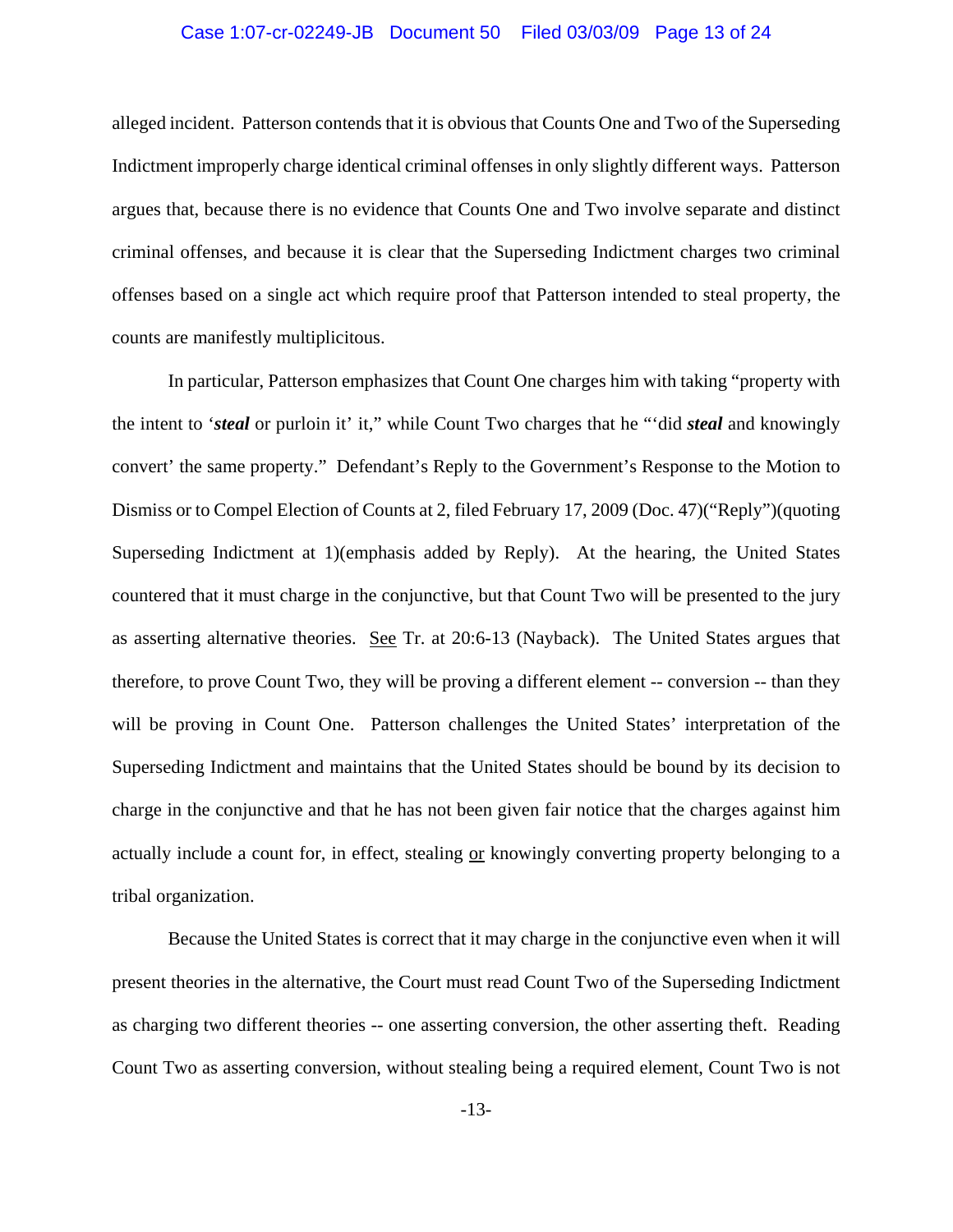### Case 1:07-cr-02249-JB Document 50 Filed 03/03/09 Page 13 of 24

alleged incident. Patterson contends that it is obvious that Counts One and Two of the Superseding Indictment improperly charge identical criminal offenses in only slightly different ways. Patterson argues that, because there is no evidence that Counts One and Two involve separate and distinct criminal offenses, and because it is clear that the Superseding Indictment charges two criminal offenses based on a single act which require proof that Patterson intended to steal property, the counts are manifestly multiplicitous.

In particular, Patterson emphasizes that Count One charges him with taking "property with the intent to '*steal* or purloin it' it," while Count Two charges that he "'did *steal* and knowingly convert' the same property." Defendant's Reply to the Government's Response to the Motion to Dismiss or to Compel Election of Counts at 2, filed February 17, 2009 (Doc. 47)("Reply")(quoting Superseding Indictment at 1)(emphasis added by Reply). At the hearing, the United States countered that it must charge in the conjunctive, but that Count Two will be presented to the jury as asserting alternative theories. See Tr. at 20:6-13 (Nayback). The United States argues that therefore, to prove Count Two, they will be proving a different element -- conversion -- than they will be proving in Count One. Patterson challenges the United States' interpretation of the Superseding Indictment and maintains that the United States should be bound by its decision to charge in the conjunctive and that he has not been given fair notice that the charges against him actually include a count for, in effect, stealing or knowingly converting property belonging to a tribal organization.

Because the United States is correct that it may charge in the conjunctive even when it will present theories in the alternative, the Court must read Count Two of the Superseding Indictment as charging two different theories -- one asserting conversion, the other asserting theft. Reading Count Two as asserting conversion, without stealing being a required element, Count Two is not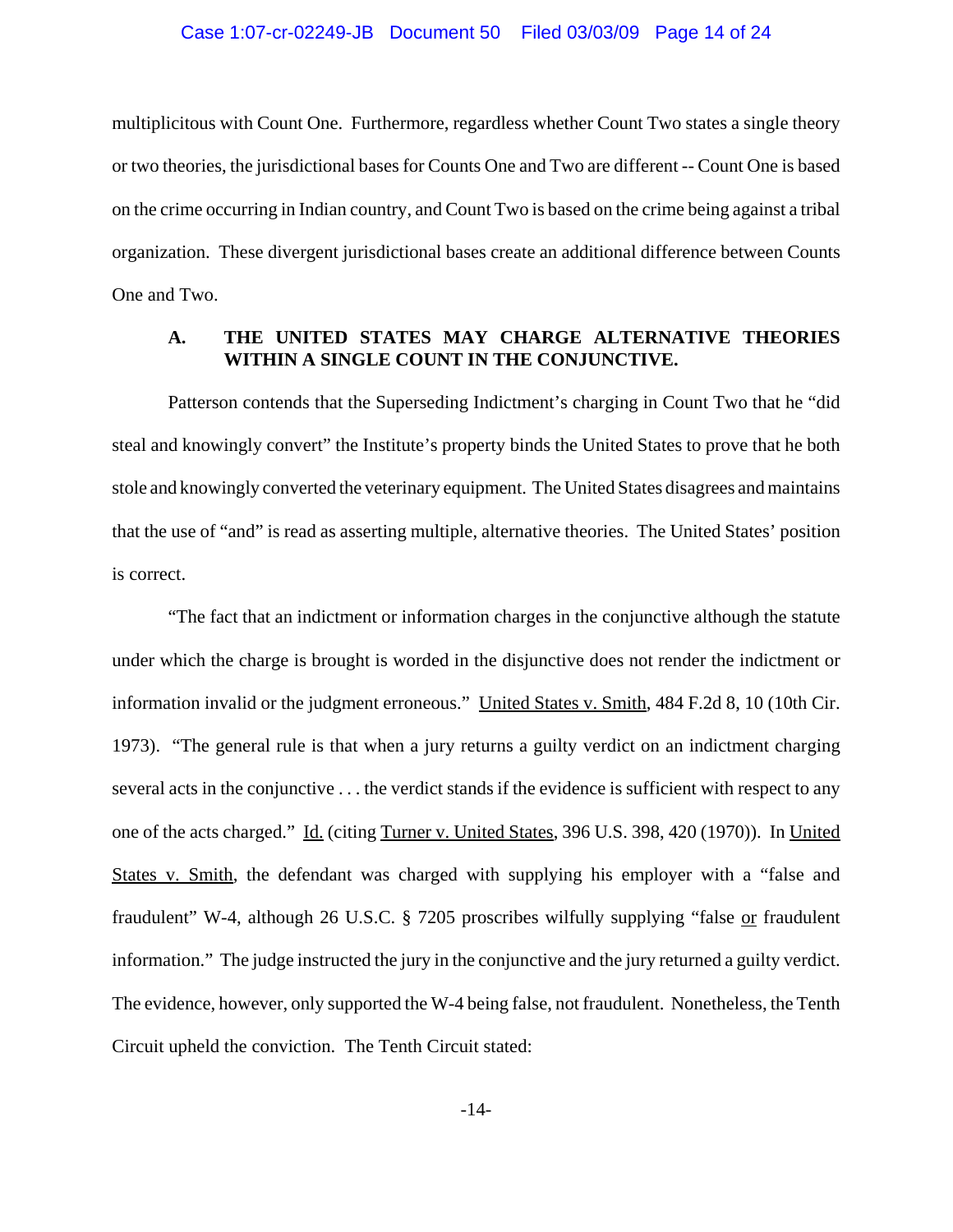### Case 1:07-cr-02249-JB Document 50 Filed 03/03/09 Page 14 of 24

multiplicitous with Count One. Furthermore, regardless whether Count Two states a single theory or two theories, the jurisdictional bases for Counts One and Two are different -- Count One is based on the crime occurring in Indian country, and Count Two is based on the crime being against a tribal organization. These divergent jurisdictional bases create an additional difference between Counts One and Two.

# **A. THE UNITED STATES MAY CHARGE ALTERNATIVE THEORIES WITHIN A SINGLE COUNT IN THE CONJUNCTIVE.**

Patterson contends that the Superseding Indictment's charging in Count Two that he "did steal and knowingly convert" the Institute's property binds the United States to prove that he both stole and knowingly converted the veterinary equipment. The United States disagrees and maintains that the use of "and" is read as asserting multiple, alternative theories. The United States' position is correct.

"The fact that an indictment or information charges in the conjunctive although the statute under which the charge is brought is worded in the disjunctive does not render the indictment or information invalid or the judgment erroneous." United States v. Smith, 484 F.2d 8, 10 (10th Cir. 1973). "The general rule is that when a jury returns a guilty verdict on an indictment charging several acts in the conjunctive . . . the verdict stands if the evidence is sufficient with respect to any one of the acts charged." Id. (citing Turner v. United States, 396 U.S. 398, 420 (1970)). In United States v. Smith, the defendant was charged with supplying his employer with a "false and fraudulent" W-4, although 26 U.S.C. § 7205 proscribes wilfully supplying "false or fraudulent information." The judge instructed the jury in the conjunctive and the jury returned a guilty verdict. The evidence, however, only supported the W-4 being false, not fraudulent. Nonetheless, the Tenth Circuit upheld the conviction. The Tenth Circuit stated: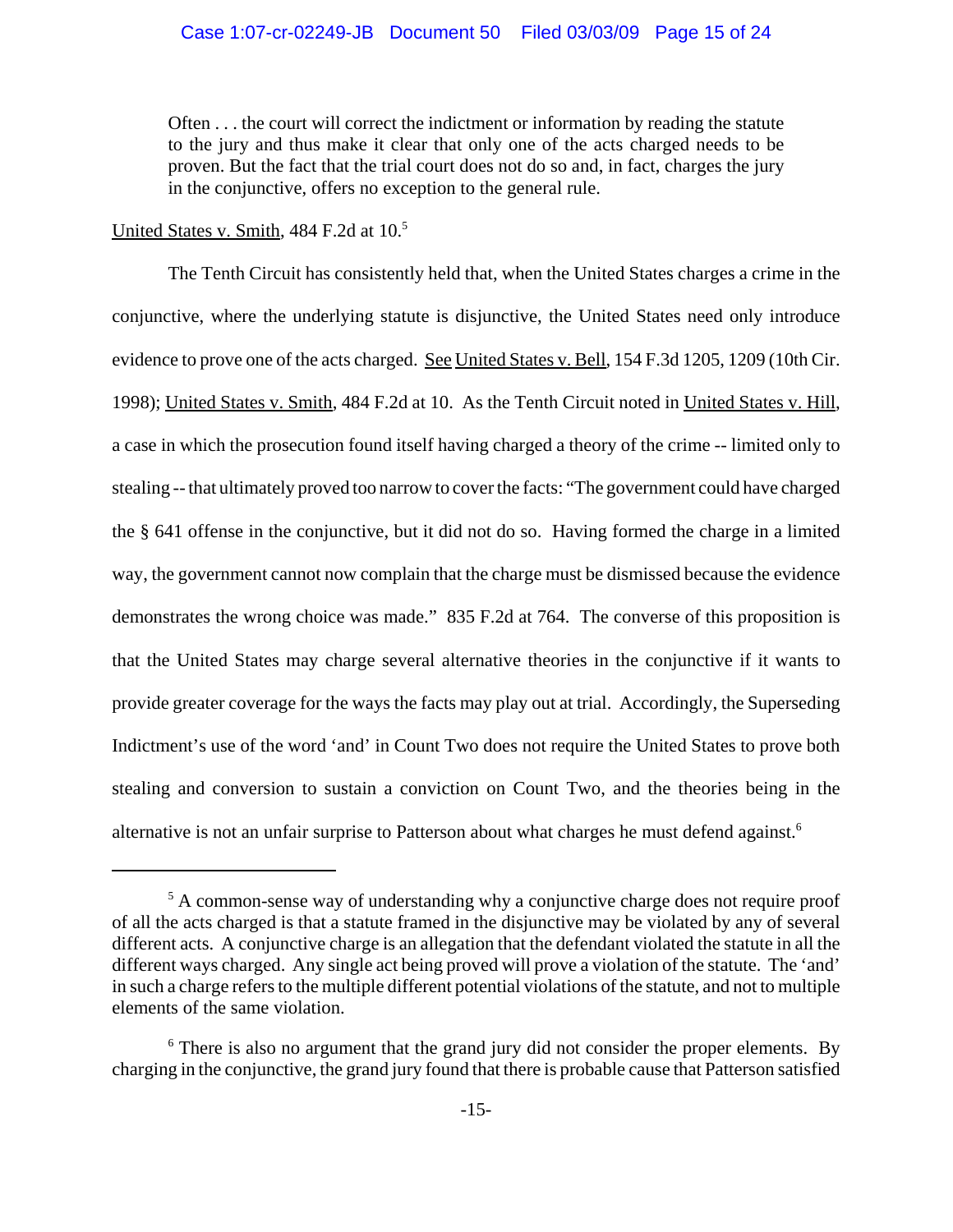Often . . . the court will correct the indictment or information by reading the statute to the jury and thus make it clear that only one of the acts charged needs to be proven. But the fact that the trial court does not do so and, in fact, charges the jury in the conjunctive, offers no exception to the general rule.

United States v. Smith, 484 F.2d at 10.<sup>5</sup>

The Tenth Circuit has consistently held that, when the United States charges a crime in the conjunctive, where the underlying statute is disjunctive, the United States need only introduce evidence to prove one of the acts charged. See United States v. Bell, 154 F.3d 1205, 1209 (10th Cir. 1998); United States v. Smith, 484 F.2d at 10. As the Tenth Circuit noted in United States v. Hill, a case in which the prosecution found itself having charged a theory of the crime -- limited only to stealing -- that ultimately proved too narrow to cover the facts: "The government could have charged the § 641 offense in the conjunctive, but it did not do so. Having formed the charge in a limited way, the government cannot now complain that the charge must be dismissed because the evidence demonstrates the wrong choice was made." 835 F.2d at 764. The converse of this proposition is that the United States may charge several alternative theories in the conjunctive if it wants to provide greater coverage for the ways the facts may play out at trial. Accordingly, the Superseding Indictment's use of the word 'and' in Count Two does not require the United States to prove both stealing and conversion to sustain a conviction on Count Two, and the theories being in the alternative is not an unfair surprise to Patterson about what charges he must defend against.<sup>6</sup>

<sup>&</sup>lt;sup>5</sup> A common-sense way of understanding why a conjunctive charge does not require proof of all the acts charged is that a statute framed in the disjunctive may be violated by any of several different acts. A conjunctive charge is an allegation that the defendant violated the statute in all the different ways charged. Any single act being proved will prove a violation of the statute. The 'and' in such a charge refers to the multiple different potential violations of the statute, and not to multiple elements of the same violation.

<sup>&</sup>lt;sup>6</sup> There is also no argument that the grand jury did not consider the proper elements. By charging in the conjunctive, the grand jury found that there is probable cause that Patterson satisfied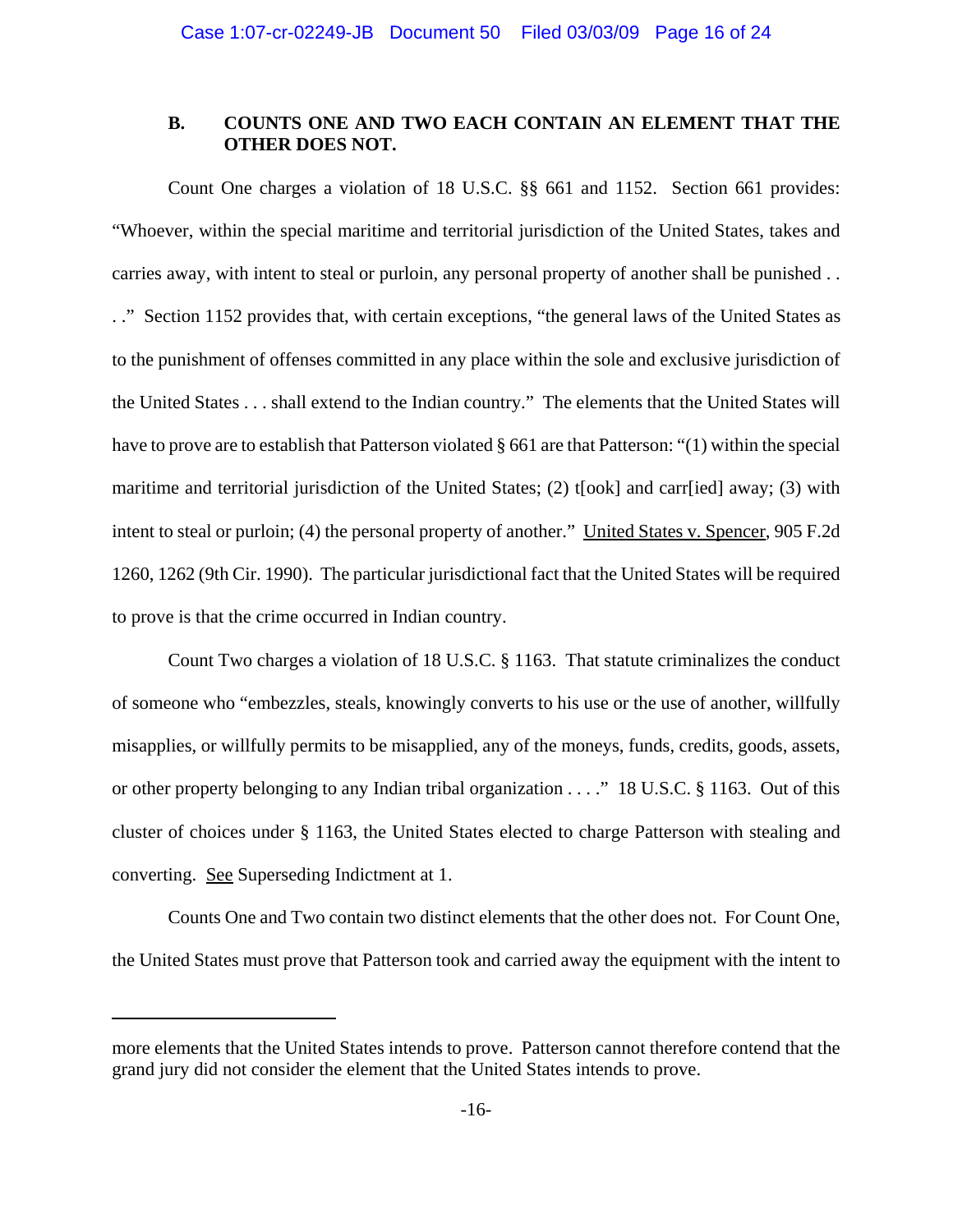# **B. COUNTS ONE AND TWO EACH CONTAIN AN ELEMENT THAT THE OTHER DOES NOT.**

Count One charges a violation of 18 U.S.C. §§ 661 and 1152. Section 661 provides: "Whoever, within the special maritime and territorial jurisdiction of the United States, takes and carries away, with intent to steal or purloin, any personal property of another shall be punished . . . ." Section 1152 provides that, with certain exceptions, "the general laws of the United States as to the punishment of offenses committed in any place within the sole and exclusive jurisdiction of the United States . . . shall extend to the Indian country." The elements that the United States will have to prove are to establish that Patterson violated § 661 are that Patterson: "(1) within the special maritime and territorial jurisdiction of the United States; (2) t[ook] and carr[ied] away; (3) with intent to steal or purloin; (4) the personal property of another." United States v. Spencer, 905 F.2d 1260, 1262 (9th Cir. 1990). The particular jurisdictional fact that the United States will be required to prove is that the crime occurred in Indian country.

Count Two charges a violation of 18 U.S.C. § 1163. That statute criminalizes the conduct of someone who "embezzles, steals, knowingly converts to his use or the use of another, willfully misapplies, or willfully permits to be misapplied, any of the moneys, funds, credits, goods, assets, or other property belonging to any Indian tribal organization . . . ." 18 U.S.C. § 1163. Out of this cluster of choices under § 1163, the United States elected to charge Patterson with stealing and converting. See Superseding Indictment at 1.

Counts One and Two contain two distinct elements that the other does not. For Count One, the United States must prove that Patterson took and carried away the equipment with the intent to

more elements that the United States intends to prove. Patterson cannot therefore contend that the grand jury did not consider the element that the United States intends to prove.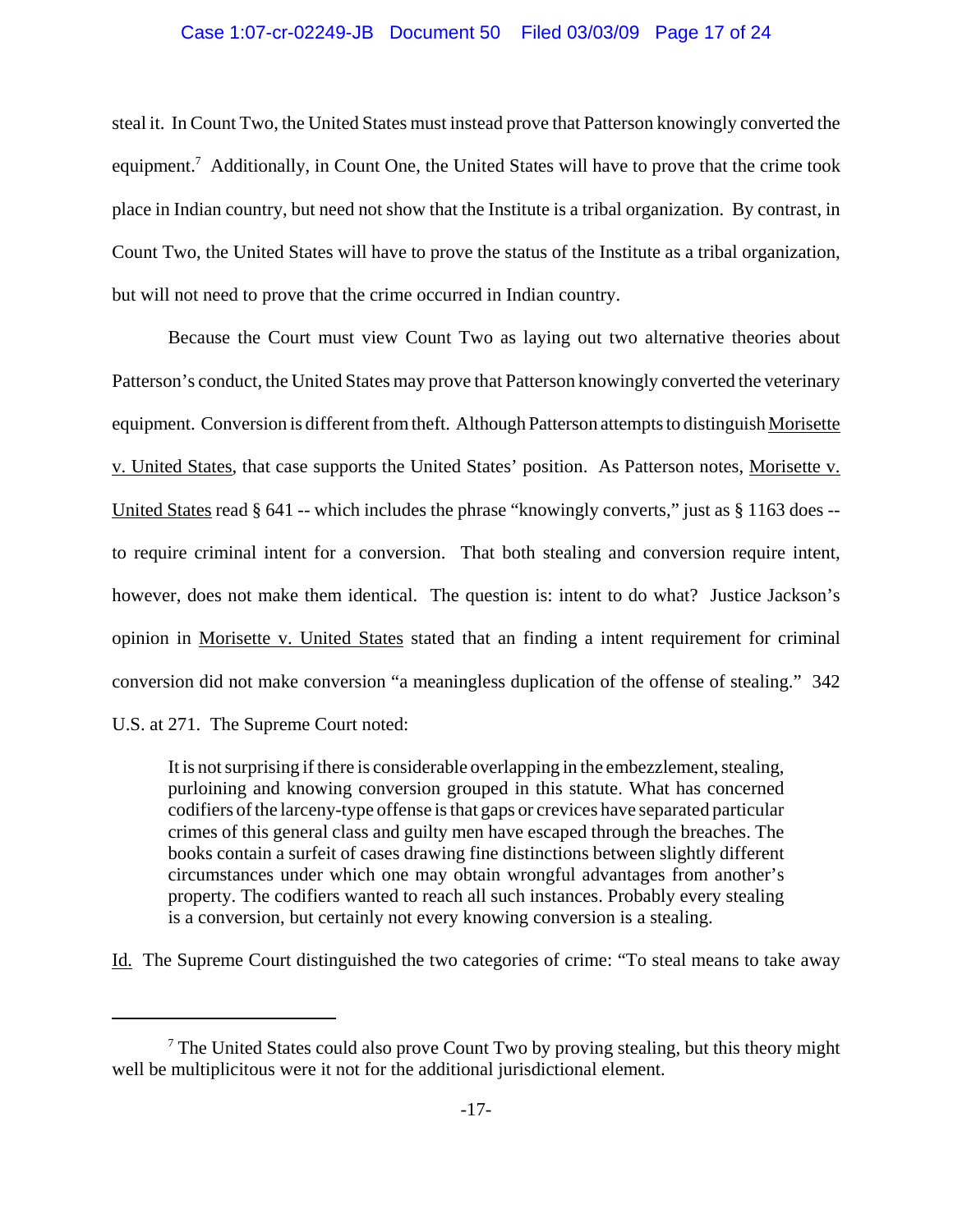# Case 1:07-cr-02249-JB Document 50 Filed 03/03/09 Page 17 of 24

steal it. In Count Two, the United States must instead prove that Patterson knowingly converted the equipment.<sup>7</sup> Additionally, in Count One, the United States will have to prove that the crime took place in Indian country, but need not show that the Institute is a tribal organization. By contrast, in Count Two, the United States will have to prove the status of the Institute as a tribal organization, but will not need to prove that the crime occurred in Indian country.

Because the Court must view Count Two as laying out two alternative theories about Patterson's conduct, the United States may prove that Patterson knowingly converted the veterinary equipment. Conversion is different from theft. Although Patterson attempts to distinguish Morisette v. United States, that case supports the United States' position. As Patterson notes, Morisette v. United States read § 641 -- which includes the phrase "knowingly converts," just as § 1163 does - to require criminal intent for a conversion. That both stealing and conversion require intent, however, does not make them identical. The question is: intent to do what? Justice Jackson's opinion in Morisette v. United States stated that an finding a intent requirement for criminal conversion did not make conversion "a meaningless duplication of the offense of stealing." 342

U.S. at 271. The Supreme Court noted:

It is not surprising if there is considerable overlapping in the embezzlement, stealing, purloining and knowing conversion grouped in this statute. What has concerned codifiers of the larceny-type offense is that gaps or crevices have separated particular crimes of this general class and guilty men have escaped through the breaches. The books contain a surfeit of cases drawing fine distinctions between slightly different circumstances under which one may obtain wrongful advantages from another's property. The codifiers wanted to reach all such instances. Probably every stealing is a conversion, but certainly not every knowing conversion is a stealing.

Id. The Supreme Court distinguished the two categories of crime: "To steal means to take away

<sup>&</sup>lt;sup>7</sup> The United States could also prove Count Two by proving stealing, but this theory might well be multiplicitous were it not for the additional jurisdictional element.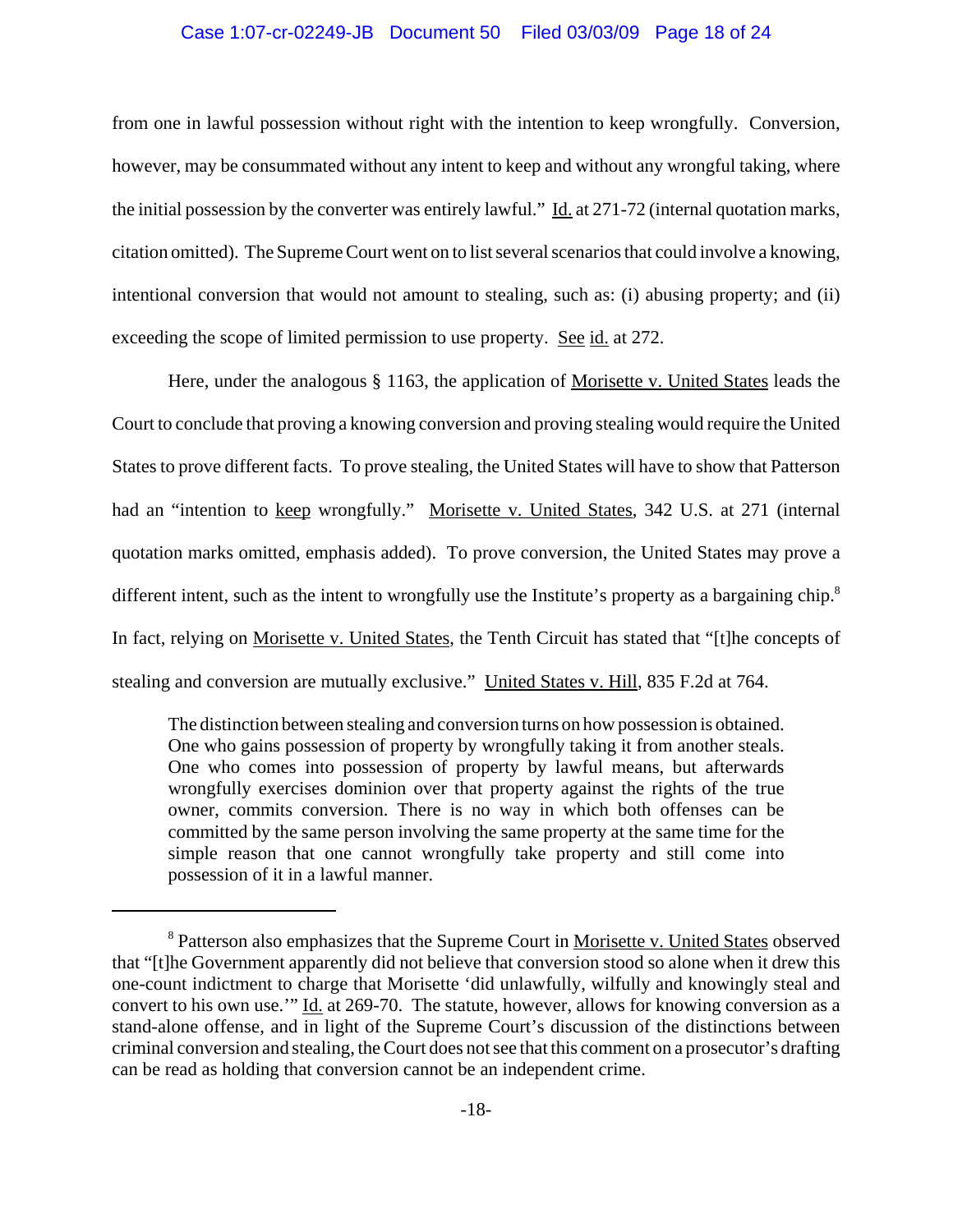## Case 1:07-cr-02249-JB Document 50 Filed 03/03/09 Page 18 of 24

from one in lawful possession without right with the intention to keep wrongfully. Conversion, however, may be consummated without any intent to keep and without any wrongful taking, where the initial possession by the converter was entirely lawful." Id. at 271-72 (internal quotation marks, citation omitted). The Supreme Court went on to list several scenarios that could involve a knowing, intentional conversion that would not amount to stealing, such as: (i) abusing property; and (ii) exceeding the scope of limited permission to use property. See id. at 272.

Here, under the analogous § 1163, the application of Morisette v. United States leads the Court to conclude that proving a knowing conversion and proving stealing would require the United States to prove different facts. To prove stealing, the United States will have to show that Patterson had an "intention to keep wrongfully." Morisette v. United States, 342 U.S. at 271 (internal quotation marks omitted, emphasis added). To prove conversion, the United States may prove a different intent, such as the intent to wrongfully use the Institute's property as a bargaining chip.<sup>8</sup> In fact, relying on Morisette v. United States, the Tenth Circuit has stated that "[t]he concepts of stealing and conversion are mutually exclusive." United States v. Hill, 835 F.2d at 764.

The distinction between stealing and conversion turns on how possession is obtained. One who gains possession of property by wrongfully taking it from another steals. One who comes into possession of property by lawful means, but afterwards wrongfully exercises dominion over that property against the rights of the true owner, commits conversion. There is no way in which both offenses can be committed by the same person involving the same property at the same time for the simple reason that one cannot wrongfully take property and still come into possession of it in a lawful manner.

<sup>&</sup>lt;sup>8</sup> Patterson also emphasizes that the Supreme Court in Morisette v. United States observed that "[t]he Government apparently did not believe that conversion stood so alone when it drew this one-count indictment to charge that Morisette 'did unlawfully, wilfully and knowingly steal and convert to his own use.'" Id. at 269-70. The statute, however, allows for knowing conversion as a stand-alone offense, and in light of the Supreme Court's discussion of the distinctions between criminal conversion and stealing, the Court does not see that this comment on a prosecutor's drafting can be read as holding that conversion cannot be an independent crime.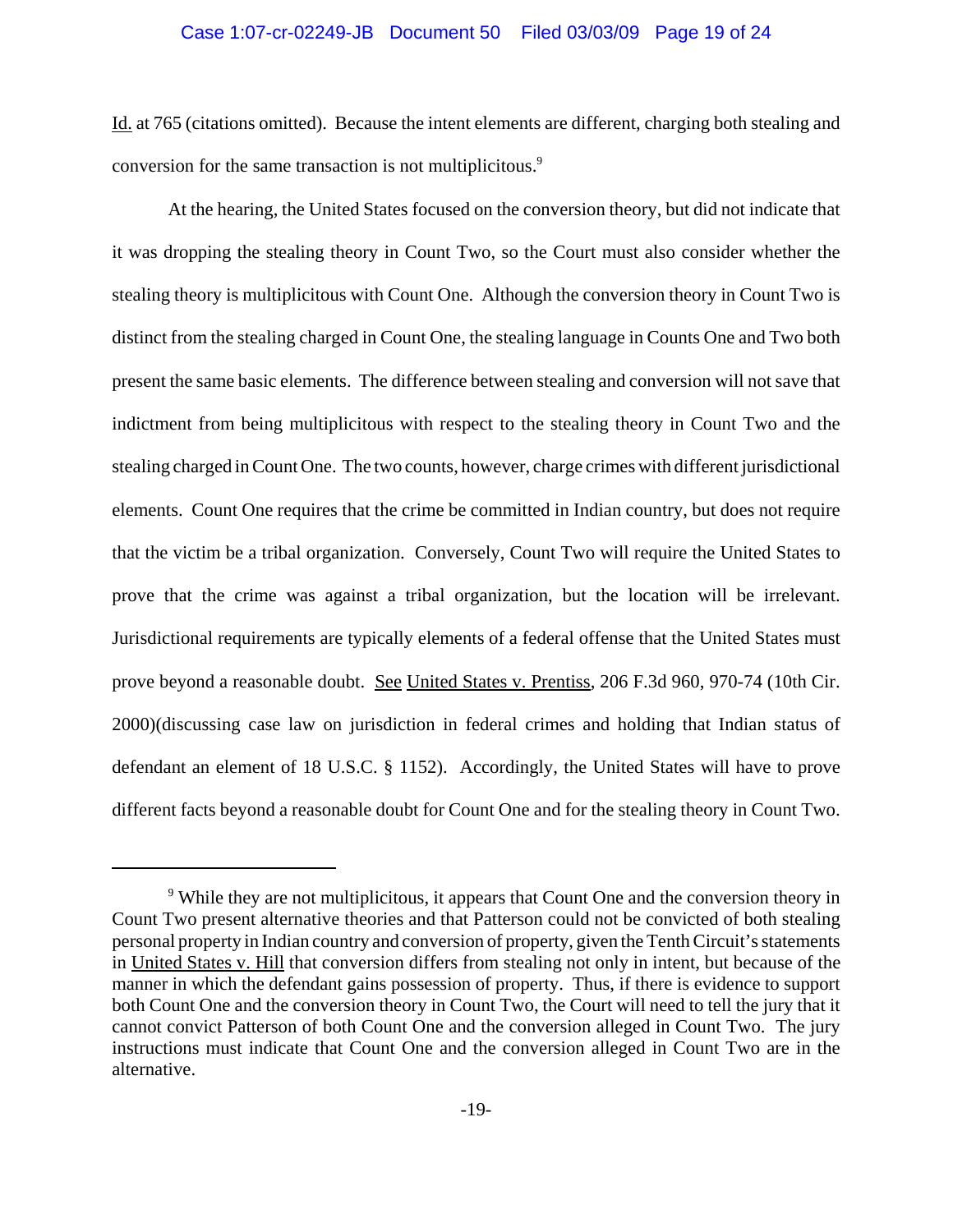## Case 1:07-cr-02249-JB Document 50 Filed 03/03/09 Page 19 of 24

Id. at 765 (citations omitted). Because the intent elements are different, charging both stealing and conversion for the same transaction is not multiplicitous.<sup>9</sup>

At the hearing, the United States focused on the conversion theory, but did not indicate that it was dropping the stealing theory in Count Two, so the Court must also consider whether the stealing theory is multiplicitous with Count One. Although the conversion theory in Count Two is distinct from the stealing charged in Count One, the stealing language in Counts One and Two both present the same basic elements. The difference between stealing and conversion will not save that indictment from being multiplicitous with respect to the stealing theory in Count Two and the stealing charged in Count One. The two counts, however, charge crimes with different jurisdictional elements. Count One requires that the crime be committed in Indian country, but does not require that the victim be a tribal organization. Conversely, Count Two will require the United States to prove that the crime was against a tribal organization, but the location will be irrelevant. Jurisdictional requirements are typically elements of a federal offense that the United States must prove beyond a reasonable doubt. See United States v. Prentiss, 206 F.3d 960, 970-74 (10th Cir. 2000)(discussing case law on jurisdiction in federal crimes and holding that Indian status of defendant an element of 18 U.S.C. § 1152). Accordingly, the United States will have to prove different facts beyond a reasonable doubt for Count One and for the stealing theory in Count Two.

<sup>&</sup>lt;sup>9</sup> While they are not multiplicitous, it appears that Count One and the conversion theory in Count Two present alternative theories and that Patterson could not be convicted of both stealing personal property in Indian country and conversion of property, given the Tenth Circuit's statements in United States v. Hill that conversion differs from stealing not only in intent, but because of the manner in which the defendant gains possession of property. Thus, if there is evidence to support both Count One and the conversion theory in Count Two, the Court will need to tell the jury that it cannot convict Patterson of both Count One and the conversion alleged in Count Two. The jury instructions must indicate that Count One and the conversion alleged in Count Two are in the alternative.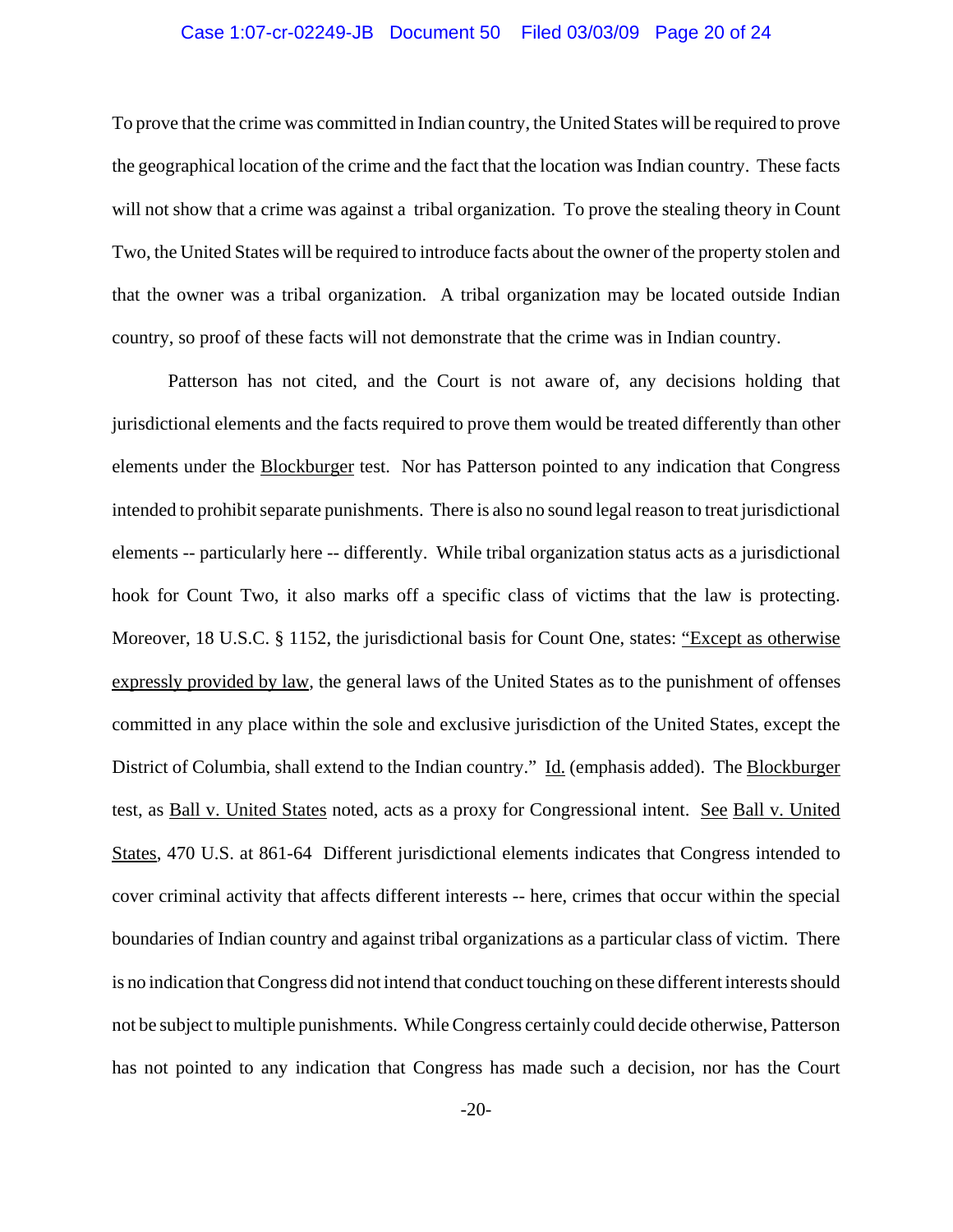## Case 1:07-cr-02249-JB Document 50 Filed 03/03/09 Page 20 of 24

To prove that the crime was committed in Indian country, the United States will be required to prove the geographical location of the crime and the fact that the location was Indian country. These facts will not show that a crime was against a tribal organization. To prove the stealing theory in Count Two, the United States will be required to introduce facts about the owner of the property stolen and that the owner was a tribal organization. A tribal organization may be located outside Indian country, so proof of these facts will not demonstrate that the crime was in Indian country.

Patterson has not cited, and the Court is not aware of, any decisions holding that jurisdictional elements and the facts required to prove them would be treated differently than other elements under the Blockburger test. Nor has Patterson pointed to any indication that Congress intended to prohibit separate punishments. There is also no sound legal reason to treat jurisdictional elements -- particularly here -- differently. While tribal organization status acts as a jurisdictional hook for Count Two, it also marks off a specific class of victims that the law is protecting. Moreover, 18 U.S.C. § 1152, the jurisdictional basis for Count One, states: "Except as otherwise expressly provided by law, the general laws of the United States as to the punishment of offenses committed in any place within the sole and exclusive jurisdiction of the United States, except the District of Columbia, shall extend to the Indian country." Id. (emphasis added). The Blockburger test, as Ball v. United States noted, acts as a proxy for Congressional intent. See Ball v. United States, 470 U.S. at 861-64 Different jurisdictional elements indicates that Congress intended to cover criminal activity that affects different interests -- here, crimes that occur within the special boundaries of Indian country and against tribal organizations as a particular class of victim. There is no indication that Congress did not intend that conduct touching on these different interests should not be subject to multiple punishments. While Congress certainly could decide otherwise, Patterson has not pointed to any indication that Congress has made such a decision, nor has the Court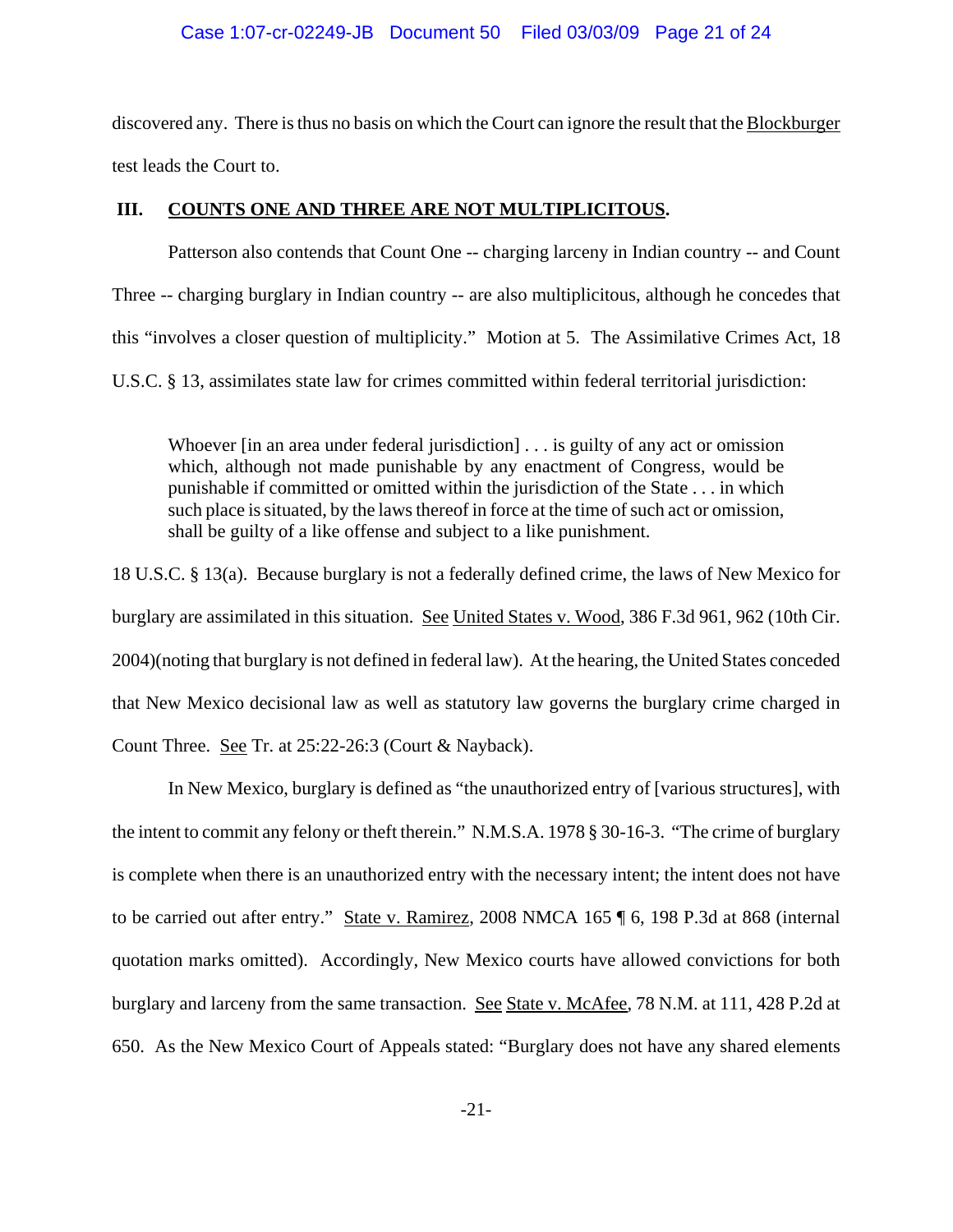## Case 1:07-cr-02249-JB Document 50 Filed 03/03/09 Page 21 of 24

discovered any. There is thus no basis on which the Court can ignore the result that the Blockburger test leads the Court to.

# **III. COUNTS ONE AND THREE ARE NOT MULTIPLICITOUS.**

Patterson also contends that Count One -- charging larceny in Indian country -- and Count Three -- charging burglary in Indian country -- are also multiplicitous, although he concedes that this "involves a closer question of multiplicity." Motion at 5. The Assimilative Crimes Act, 18 U.S.C. § 13, assimilates state law for crimes committed within federal territorial jurisdiction:

Whoever [in an area under federal jurisdiction] . . . is guilty of any act or omission which, although not made punishable by any enactment of Congress, would be punishable if committed or omitted within the jurisdiction of the State . . . in which such place is situated, by the laws thereof in force at the time of such act or omission, shall be guilty of a like offense and subject to a like punishment.

18 U.S.C. § 13(a). Because burglary is not a federally defined crime, the laws of New Mexico for burglary are assimilated in this situation. See United States v. Wood, 386 F.3d 961, 962 (10th Cir. 2004)(noting that burglary is not defined in federal law). At the hearing, the United States conceded that New Mexico decisional law as well as statutory law governs the burglary crime charged in Count Three. See Tr. at 25:22-26:3 (Court & Nayback).

In New Mexico, burglary is defined as "the unauthorized entry of [various structures], with the intent to commit any felony or theft therein." N.M.S.A. 1978 § 30-16-3. "The crime of burglary is complete when there is an unauthorized entry with the necessary intent; the intent does not have to be carried out after entry." State v. Ramirez, 2008 NMCA 165 ¶ 6, 198 P.3d at 868 (internal quotation marks omitted). Accordingly, New Mexico courts have allowed convictions for both burglary and larceny from the same transaction. See State v. McAfee, 78 N.M. at 111, 428 P.2d at 650. As the New Mexico Court of Appeals stated: "Burglary does not have any shared elements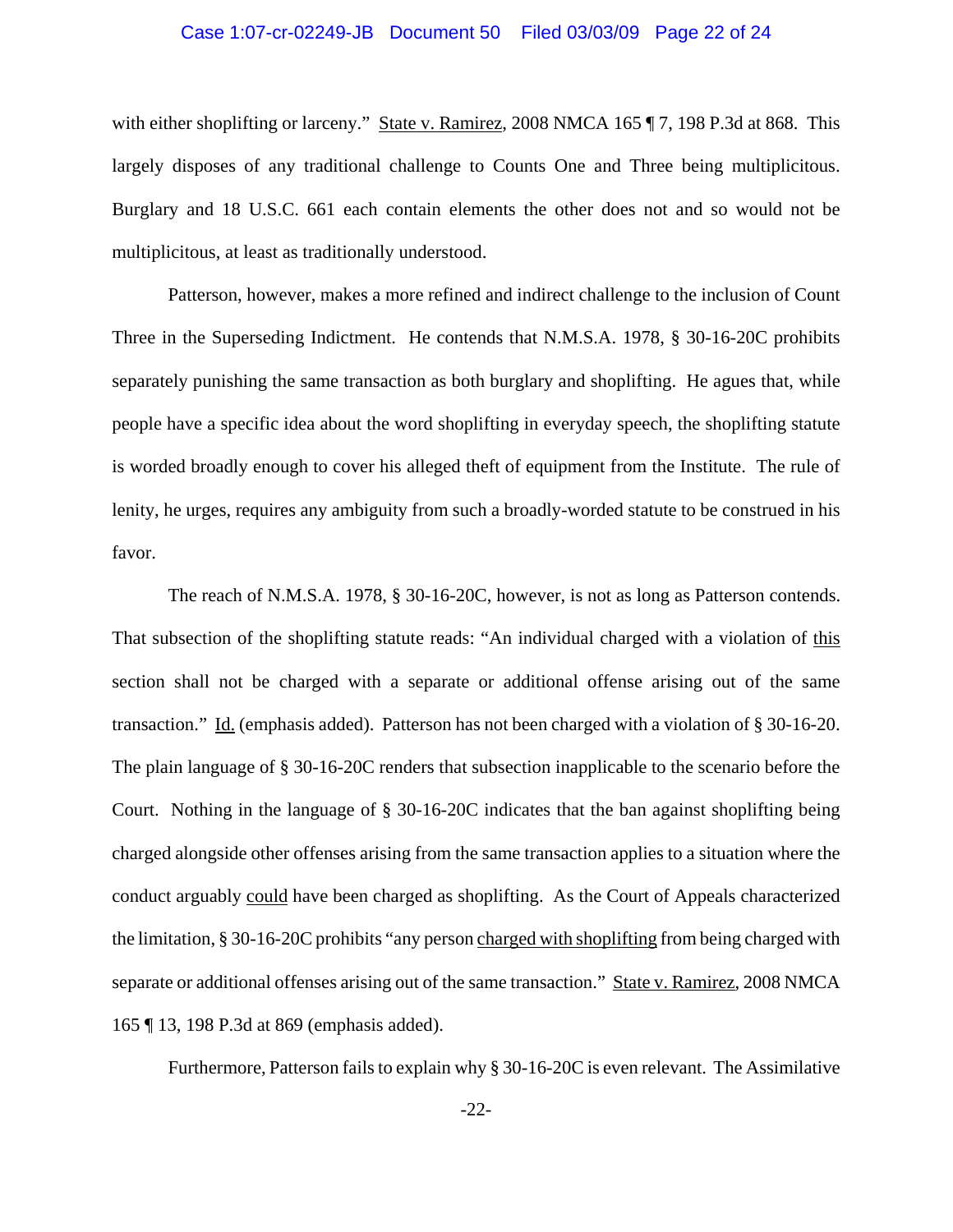### Case 1:07-cr-02249-JB Document 50 Filed 03/03/09 Page 22 of 24

with either shoplifting or larceny." State v. Ramirez, 2008 NMCA 165 ¶ 7, 198 P.3d at 868. This largely disposes of any traditional challenge to Counts One and Three being multiplicitous. Burglary and 18 U.S.C. 661 each contain elements the other does not and so would not be multiplicitous, at least as traditionally understood.

Patterson, however, makes a more refined and indirect challenge to the inclusion of Count Three in the Superseding Indictment. He contends that N.M.S.A. 1978, § 30-16-20C prohibits separately punishing the same transaction as both burglary and shoplifting. He agues that, while people have a specific idea about the word shoplifting in everyday speech, the shoplifting statute is worded broadly enough to cover his alleged theft of equipment from the Institute. The rule of lenity, he urges, requires any ambiguity from such a broadly-worded statute to be construed in his favor.

The reach of N.M.S.A. 1978, § 30-16-20C, however, is not as long as Patterson contends. That subsection of the shoplifting statute reads: "An individual charged with a violation of this section shall not be charged with a separate or additional offense arising out of the same transaction." Id. (emphasis added). Patterson has not been charged with a violation of § 30-16-20. The plain language of § 30-16-20C renders that subsection inapplicable to the scenario before the Court. Nothing in the language of § 30-16-20C indicates that the ban against shoplifting being charged alongside other offenses arising from the same transaction applies to a situation where the conduct arguably could have been charged as shoplifting. As the Court of Appeals characterized the limitation, § 30-16-20C prohibits "any person charged with shoplifting from being charged with separate or additional offenses arising out of the same transaction." State v. Ramirez, 2008 NMCA 165 ¶ 13, 198 P.3d at 869 (emphasis added).

Furthermore, Patterson fails to explain why § 30-16-20C is even relevant. The Assimilative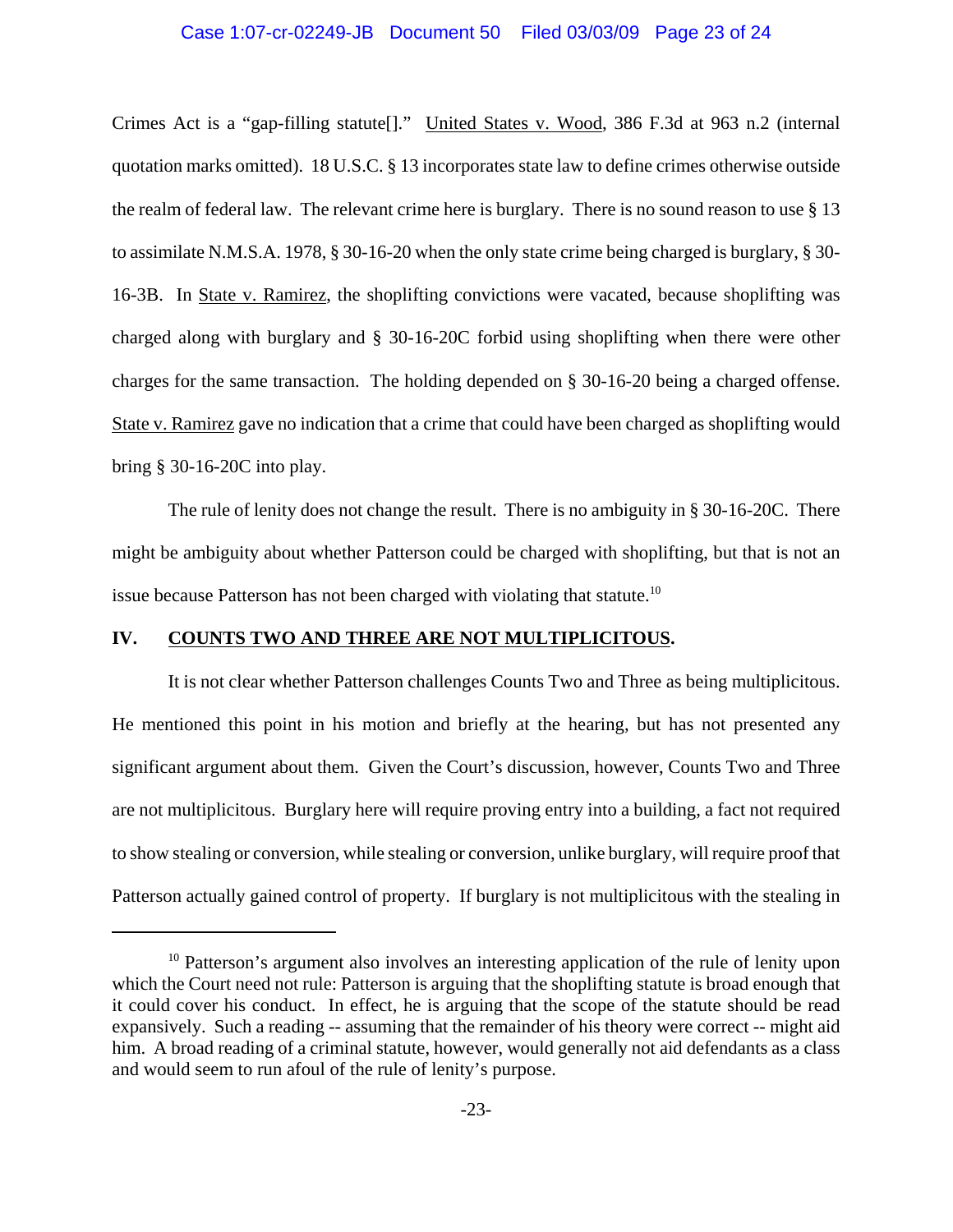### Case 1:07-cr-02249-JB Document 50 Filed 03/03/09 Page 23 of 24

Crimes Act is a "gap-filling statute[]." United States v. Wood, 386 F.3d at 963 n.2 (internal quotation marks omitted). 18 U.S.C. § 13 incorporates state law to define crimes otherwise outside the realm of federal law. The relevant crime here is burglary. There is no sound reason to use § 13 to assimilate N.M.S.A. 1978, § 30-16-20 when the only state crime being charged is burglary, § 30- 16-3B. In State v. Ramirez, the shoplifting convictions were vacated, because shoplifting was charged along with burglary and § 30-16-20C forbid using shoplifting when there were other charges for the same transaction. The holding depended on § 30-16-20 being a charged offense. State v. Ramirez gave no indication that a crime that could have been charged as shoplifting would bring § 30-16-20C into play.

The rule of lenity does not change the result. There is no ambiguity in § 30-16-20C. There might be ambiguity about whether Patterson could be charged with shoplifting, but that is not an issue because Patterson has not been charged with violating that statute.<sup>10</sup>

## **IV. COUNTS TWO AND THREE ARE NOT MULTIPLICITOUS.**

It is not clear whether Patterson challenges Counts Two and Three as being multiplicitous. He mentioned this point in his motion and briefly at the hearing, but has not presented any significant argument about them. Given the Court's discussion, however, Counts Two and Three are not multiplicitous. Burglary here will require proving entry into a building, a fact not required to show stealing or conversion, while stealing or conversion, unlike burglary, will require proof that Patterson actually gained control of property. If burglary is not multiplicitous with the stealing in

<sup>&</sup>lt;sup>10</sup> Patterson's argument also involves an interesting application of the rule of lenity upon which the Court need not rule: Patterson is arguing that the shoplifting statute is broad enough that it could cover his conduct. In effect, he is arguing that the scope of the statute should be read expansively. Such a reading -- assuming that the remainder of his theory were correct -- might aid him. A broad reading of a criminal statute, however, would generally not aid defendants as a class and would seem to run afoul of the rule of lenity's purpose.